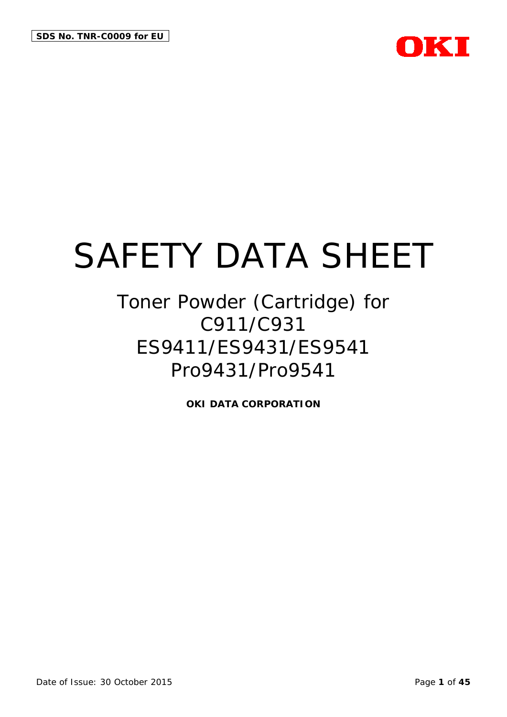

## Toner Powder (Cartridge) for C911/C931 ES9411/ES9431/ES9541 Pro9431/Pro9541

**OKI DATA CORPORATION**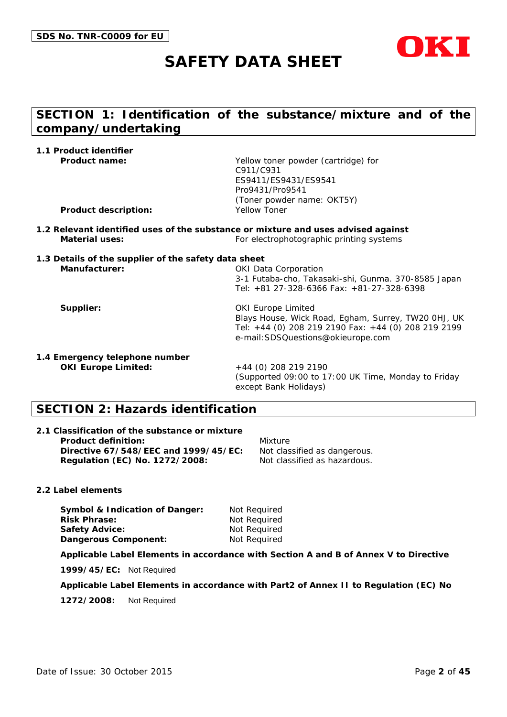



## **SECTION 1: Identification of the substance/mixture and of the company/undertaking**

| 1.1 Product identifier                                                            |                                                     |
|-----------------------------------------------------------------------------------|-----------------------------------------------------|
| Product name:                                                                     | Yellow toner powder (cartridge) for                 |
|                                                                                   | C911/C931                                           |
|                                                                                   | ES9411/ES9431/ES9541                                |
|                                                                                   | Pro9431/Pro9541                                     |
|                                                                                   | (Toner powder name: OKT5Y)                          |
| <b>Product description:</b>                                                       | Yellow Toner                                        |
| 1.2 Relevant identified uses of the substance or mixture and uses advised against |                                                     |
| <b>Material uses:</b>                                                             | For electrophotographic printing systems            |
| 1.3 Details of the supplier of the safety data sheet                              |                                                     |
| Manufacturer:                                                                     | <b>OKI Data Corporation</b>                         |
|                                                                                   | 3-1 Futaba-cho, Takasaki-shi, Gunma. 370-8585 Japan |
|                                                                                   | Tel: +81 27-328-6366 Fax: +81-27-328-6398           |
| Supplier:                                                                         | <b>OKI Europe Limited</b>                           |
|                                                                                   | Blays House, Wick Road, Egham, Surrey, TW20 OHJ, UK |
|                                                                                   | Tel: +44 (0) 208 219 2190 Fax: +44 (0) 208 219 2199 |
|                                                                                   | e-mail: SDSQuestions@okieurope.com                  |
| 1.4 Emergency telephone number                                                    |                                                     |
| <b>OKI Europe Limited:</b>                                                        | +44 (0) 208 219 2190                                |
|                                                                                   | (Supported 09:00 to 17:00 UK Time, Monday to Friday |
|                                                                                   | except Bank Holidays)                               |
|                                                                                   |                                                     |

## **SECTION 2: Hazards identification**

| 2.1 Classification of the substance or mixture |                              |
|------------------------------------------------|------------------------------|
| <b>Product definition:</b>                     | Mixture                      |
| Directive 67/548/EEC and 1999/45/EC:           | Not classified as dangerous. |
| Regulation (EC) No. 1272/2008:                 | Not classified as hazardous. |

#### **2.2 Label elements**

**Symbol & Indication of Danger:** Not Required<br> **Risk Phrase:** Not Required **Safety Advice:** Not Required **Dangerous Component:** Not Required

**Not Required** 

#### **Applicable Label Elements in accordance with Section A and B of Annex V to Directive**

**1999/45/EC:** Not Required

**Applicable Label Elements in accordance with Part2 of Annex II to Regulation (EC) No** 

**1272/2008:** Not Required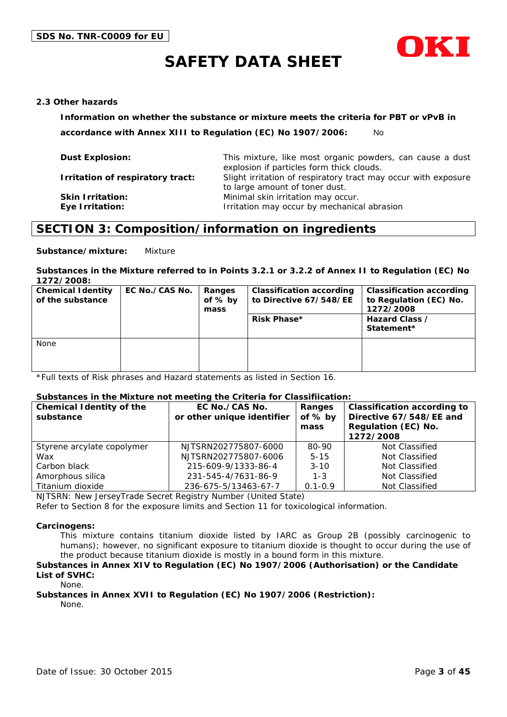

#### **2.3 Other hazards**

**Information on whether the substance or mixture meets the criteria for PBT or vPvB in** 

**accordance with Annex XIII to Regulation (EC) No 1907/2006:** No

| This mixture, like most organic powders, can cause a dust<br>explosion if particles form thick clouds. |
|--------------------------------------------------------------------------------------------------------|
| Slight irritation of respiratory tract may occur with exposure<br>to large amount of toner dust.       |
| Minimal skin irritation may occur.<br>Irritation may occur by mechanical abrasion                      |
|                                                                                                        |

### **SECTION 3: Composition/information on ingredients**

**Substance/mixture:** Mixture

#### **Substances in the Mixture referred to in Points 3.2.1 or 3.2.2 of Annex II to Regulation (EC) No 1272/2008:**

| <b>Chemical Identity</b><br>of the substance | EC No./CAS No. | Ranges<br>of $%$ by<br>mass | <b>Classification according</b><br>to Directive 67/548/EE<br>Risk Phase* | <b>Classification according</b><br>to Regulation (EC) No.<br>1272/2008<br>Hazard Class /<br>Statement* |
|----------------------------------------------|----------------|-----------------------------|--------------------------------------------------------------------------|--------------------------------------------------------------------------------------------------------|
| None                                         |                |                             |                                                                          |                                                                                                        |

\*Full texts of Risk phrases and Hazard statements as listed in Section 16.

#### **Substances in the Mixture not meeting the Criteria for Classifiication:**

| <b>Chemical Identity of the</b><br>substance | EC No./CAS No.<br>or other unique identifier | Ranges<br>of $%$ by<br>mass | <b>Classification according to</b><br>Directive 67/548/EE and<br>Regulation (EC) No.<br>1272/2008 |
|----------------------------------------------|----------------------------------------------|-----------------------------|---------------------------------------------------------------------------------------------------|
| Styrene arcylate copolymer                   | NJTSRN202775807-6000                         | 80-90                       | Not Classified                                                                                    |
| Wax                                          | NJTSRN202775807-6006                         | $5 - 15$                    | Not Classified                                                                                    |
| Carbon black                                 | 215-609-9/1333-86-4                          | $3 - 10$                    | Not Classified                                                                                    |
| Amorphous silica                             | 231-545-4/7631-86-9                          | $1 - 3$                     | Not Classified                                                                                    |
| Titanium dioxide                             | 236-675-5/13463-67-7                         | $0.1 - 0.9$                 | Not Classified                                                                                    |

NJTSRN: New JerseyTrade Secret Registry Number (United State)

Refer to Section 8 for the exposure limits and Section 11 for toxicological information.

#### **Carcinogens:**

This mixture contains titanium dioxide listed by IARC as Group 2B (possibly carcinogenic to humans); however, no significant exposure to titanium dioxide is thought to occur during the use of the product because titanium dioxide is mostly in a bound form in this mixture.

#### **Substances in Annex XIV to Regulation (EC) No 1907/2006 (Authorisation) or the Candidate List of SVHC:**

None.

## **Substances in Annex XVII to Regulation (EC) No 1907/2006 (Restriction):**

None.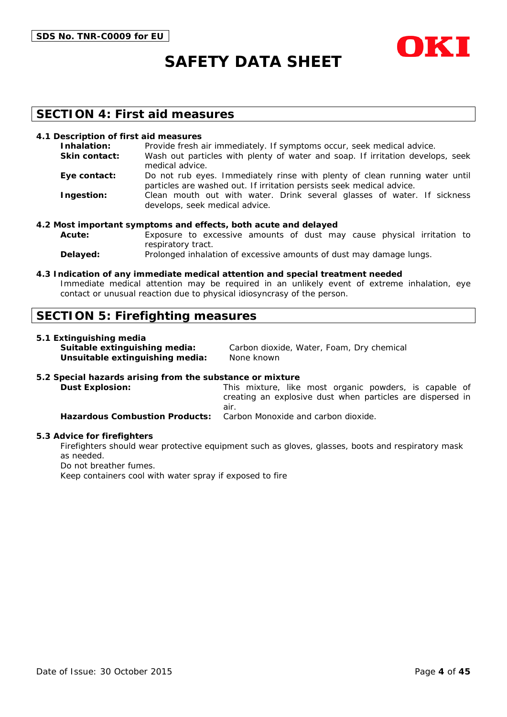

### **SECTION 4: First aid measures**

#### **4.1 Description of first aid measures**

| Inhalation:          | Provide fresh air immediately. If symptoms occur, seek medical advice.                                                                               |
|----------------------|------------------------------------------------------------------------------------------------------------------------------------------------------|
| <b>Skin contact:</b> | Wash out particles with plenty of water and soap. If irritation develops, seek<br>medical advice.                                                    |
| Eye contact:         | Do not rub eyes. Immediately rinse with plenty of clean running water until<br>particles are washed out. If irritation persists seek medical advice. |
| Ingestion:           | Clean mouth out with water. Drink several glasses of water. If sickness<br>develops, seek medical advice.                                            |

#### **4.2 Most important symptoms and effects, both acute and delayed**

- **Acute:** Exposure to excessive amounts of dust may cause physical irritation to respiratory tract.
- **Delayed:** Prolonged inhalation of excessive amounts of dust may damage lungs.

#### **4.3 Indication of any immediate medical attention and special treatment needed**

Immediate medical attention may be required in an unlikely event of extreme inhalation, eye contact or unusual reaction due to physical idiosyncrasy of the person.

### **SECTION 5: Firefighting measures**

#### **5.1 Extinguishing media**

| Suitable extinguishing media:   | Carbon dioxide, Water, Foam, Dry chemical |
|---------------------------------|-------------------------------------------|
| Unsuitable extinguishing media: | None known                                |

#### **5.2 Special hazards arising from the substance or mixture**

**Dust Explosion:** This mixture, like most organic powders, is capable of creating an explosive dust when particles are dispersed in air. **Hazardous Combustion Products:** Carbon Monoxide and carbon dioxide.

#### **5.3 Advice for firefighters**

Firefighters should wear protective equipment such as gloves, glasses, boots and respiratory mask as needed.

Do not breather fumes.

Keep containers cool with water spray if exposed to fire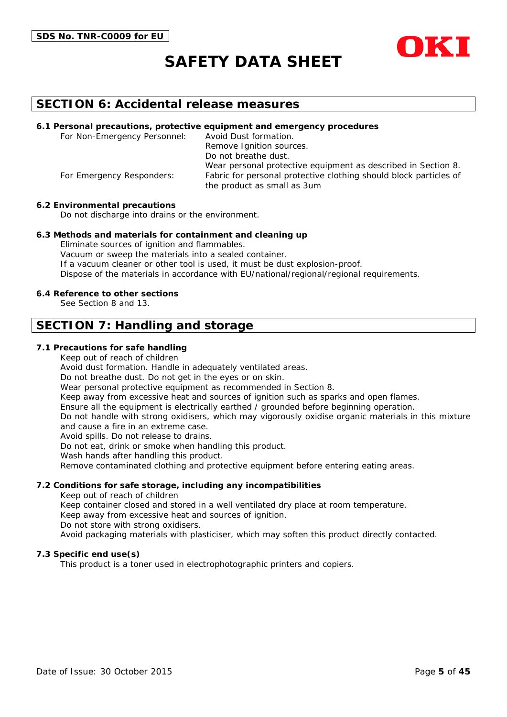



### **SECTION 6: Accidental release measures**

#### **6.1 Personal precautions, protective equipment and emergency procedures**

For Non-Emergency Personnel: Avoid Dust formation. Remove Ignition sources. Do not breathe dust. Wear personal protective equipment as described in Section 8. For Emergency Responders: Fabric for personal protective clothing should block particles of the product as small as 3um

#### **6.2 Environmental precautions**

Do not discharge into drains or the environment.

#### **6.3 Methods and materials for containment and cleaning up**

Eliminate sources of ignition and flammables. Vacuum or sweep the materials into a sealed container. If a vacuum cleaner or other tool is used, it must be dust explosion-proof. Dispose of the materials in accordance with EU/national/regional/regional requirements.

#### **6.4 Reference to other sections**

See Section 8 and 13.

### **SECTION 7: Handling and storage**

#### **7.1 Precautions for safe handling**

Keep out of reach of children

Avoid dust formation. Handle in adequately ventilated areas.

Do not breathe dust. Do not get in the eyes or on skin.

Wear personal protective equipment as recommended in Section 8.

Keep away from excessive heat and sources of ignition such as sparks and open flames.

Ensure all the equipment is electrically earthed / grounded before beginning operation.

Do not handle with strong oxidisers, which may vigorously oxidise organic materials in this mixture and cause a fire in an extreme case.

Avoid spills. Do not release to drains.

Do not eat, drink or smoke when handling this product.

Wash hands after handling this product.

Remove contaminated clothing and protective equipment before entering eating areas.

#### **7.2 Conditions for safe storage, including any incompatibilities**

Keep out of reach of children

Keep container closed and stored in a well ventilated dry place at room temperature.

Keep away from excessive heat and sources of ignition.

Do not store with strong oxidisers.

Avoid packaging materials with plasticiser, which may soften this product directly contacted.

#### **7.3 Specific end use(s)**

This product is a toner used in electrophotographic printers and copiers.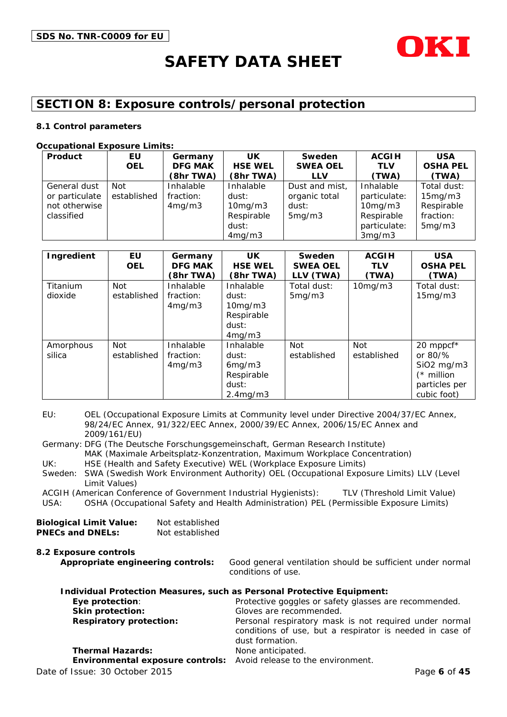

## **SECTION 8: Exposure controls/personal protection**

#### **8.1 Control parameters**

#### **Occupational Exposure Limits:**

| Product        | EU          | Germany        | <b>UK</b>      | Sweden          | <b>ACGIH</b>  | <b>USA</b>      |
|----------------|-------------|----------------|----------------|-----------------|---------------|-----------------|
|                | <b>OEL</b>  | <b>DFG MAK</b> | <b>HSE WEL</b> | <b>SWEA OEL</b> | <b>TLV</b>    | <b>OSHA PEL</b> |
|                |             | (8hr TWA)      | (8hr TWA)      | <b>LLV</b>      | (TWA)         | (TWA)           |
| General dust   | Not         | Inhalable      | Inhalable      | Dust and mist,  | Inhalable     | Total dust:     |
| or particulate | established | fraction:      | dust:          | organic total   | particulate:  | 15mg/m3         |
| not otherwise  |             | 4mg/m3         | 10mg/m3        | dust:           | $10$ mg/m $3$ | Respirable      |
| classified     |             |                | Respirable     | 5mg/m3          | Respirable    | fraction:       |
|                |             |                | dust:          |                 | particulate:  | 5mg/m3          |
|                |             |                | 4mg/m3         |                 | 3mg/m3        |                 |

| Ingredient          | EU<br><b>OEL</b>          | Germany<br><b>DFG MAK</b><br>(8hr TWA) | UK.<br><b>HSE WEL</b><br>(8hr TWA)                                           | Sweden<br><b>SWEA OEL</b><br>LLV (TWA) | <b>ACGIH</b><br><b>TLV</b><br>(TWA) | <b>USA</b><br><b>OSHA PEL</b><br>(TWA)                                                             |
|---------------------|---------------------------|----------------------------------------|------------------------------------------------------------------------------|----------------------------------------|-------------------------------------|----------------------------------------------------------------------------------------------------|
| Titanium<br>dioxide | <b>Not</b><br>established | Inhalable<br>fraction:<br>4mg/m3       | Inhalable<br>dust:<br>10mg/m3<br>Respirable<br>dust:<br>4mg/m3               | Total dust:<br>5mg/m3                  | 10mg/m3                             | Total dust:<br>15mg/m3                                                                             |
| Amorphous<br>silica | <b>Not</b><br>established | Inhalable<br>fraction:<br>4mg/m3       | Inhalable<br>dust:<br>6mg/m3<br>Respirable<br>dust:<br>2.4 <sub>mq</sub> /m3 | Not<br>established                     | <b>Not</b><br>established           | 20 mppcf*<br>or $80\frac{9}{6}$<br>$SiO2$ mg/m $3$<br>$(*$ million<br>particles per<br>cubic foot) |

EU: OEL (Occupational Exposure Limits at Community level under Directive 2004/37/EC Annex, 98/24/EC Annex, 91/322/EEC Annex, 2000/39/EC Annex, 2006/15/EC Annex and 2009/161/EU)

Germany: DFG (The Deutsche Forschungsgemeinschaft, German Research Institute) MAK (Maximale Arbeitsplatz-Konzentration, Maximum Workplace Concentration) UK: HSE (Health and Safety Executive) WEL (Workplace Exposure Limits)

Sweden: SWA (Swedish Work Environment Authority) OEL (Occupational Exposure Limits) LLV (Level Limit Values)

ACGIH (American Conference of Government Industrial Hygienists): TLV (Threshold Limit Value)

USA: OSHA (Occupational Safety and Health Administration) PEL (Permissible Exposure Limits)

| <b>Biological Limit Value:</b> | Not established |
|--------------------------------|-----------------|
| <b>PNECs and DNELs:</b>        | Not established |

**8.2 Exposure controls Appropriate engineering controls:** Good general ventilation should be sufficient under normal conditions of use. **Individual Protection Measures, such as Personal Protective Equipment:**

| THUIVIQUAL PTOLECTION MEASULES, SUCH AS PETSONAL PTOLECTIVE EQUIPMENT. |                                                                                                                                       |
|------------------------------------------------------------------------|---------------------------------------------------------------------------------------------------------------------------------------|
| Eye protection:                                                        | Protective goggles or safety glasses are recommended.                                                                                 |
| Skin protection:                                                       | Gloves are recommended.                                                                                                               |
| <b>Respiratory protection:</b>                                         | Personal respiratory mask is not required under normal<br>conditions of use, but a respirator is needed in case of<br>dust formation. |
| <b>Thermal Hazards:</b>                                                | None anticipated.                                                                                                                     |
| Environmental exposure controls: Avoid release to the environment.     |                                                                                                                                       |
| Date of Issue: 30 October 2015                                         | Page 6 of 45                                                                                                                          |
|                                                                        |                                                                                                                                       |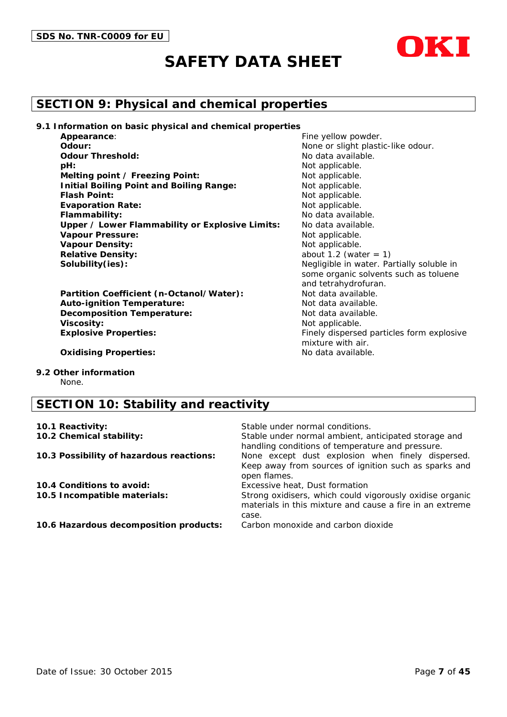

## **SECTION 9: Physical and chemical properties**

**9.1 Information on basic physical and chemical properties**

| Appearance:                                     |
|-------------------------------------------------|
| Odour:                                          |
| <b>Odour Threshold:</b>                         |
| pH:                                             |
| Melting point / Freezing Point:                 |
| <b>Initial Boiling Point and Boiling Range:</b> |
| <b>Flash Point:</b>                             |
| <b>Evaporation Rate:</b>                        |
| Flammability:                                   |
| Upper / Lower Flammability or Explosive Limits: |
| <b>Vapour Pressure:</b>                         |
| <b>Vapour Density:</b>                          |
| <b>Relative Density:</b>                        |
| Solubility(ies):                                |

**Partition Coefficient (n-Octanol/Water): Auto-ignition Temperature:** Not data available. **Decomposition Temperature:** Not data available. **Viscosity:** Not applicable. **Explosive Properties:** Finely dispersed particles form explosive

Fine yellow powder. None or slight plastic-like odour. **Odour Threshold:** No data available. Not applicable. **Not applicable. Not applicable.** Not applicable. Not applicable. No data available. No data available. Not applicable. **Not applicable.** about  $1.2$  (water  $= 1$ ) Negligible in water. Partially soluble in some organic solvents such as toluene and tetrahydrofuran.<br>Not data available. mixture with air.

**Oxidising Properties:** No data available.

**9.2 Other information**

None.

## **SECTION 10: Stability and reactivity**

| Stable under normal conditions.                                                                                               |
|-------------------------------------------------------------------------------------------------------------------------------|
| Stable under normal ambient, anticipated storage and<br>handling conditions of temperature and pressure.                      |
| None except dust explosion when finely dispersed.<br>Keep away from sources of ignition such as sparks and<br>open flames.    |
| Excessive heat, Dust formation                                                                                                |
| Strong oxidisers, which could vigorously oxidise organic<br>materials in this mixture and cause a fire in an extreme<br>case. |
| Carbon monoxide and carbon dioxide                                                                                            |
|                                                                                                                               |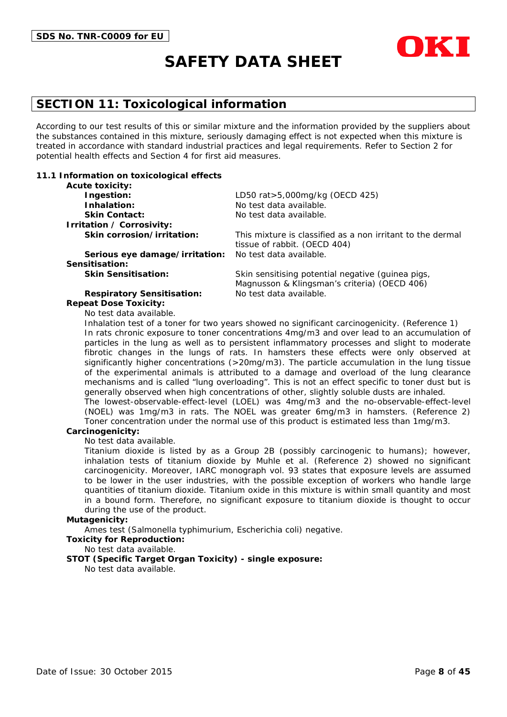

## **SECTION 11: Toxicological information**

According to our test results of this or similar mixture and the information provided by the suppliers about the substances contained in this mixture, seriously damaging effect is not expected when this mixture is treated in accordance with standard industrial practices and legal requirements. Refer to Section 2 for potential health effects and Section 4 for first aid measures.

#### **11.1 Information on toxicological effects**

| <b>Acute toxicity:</b>            |                                                                                            |
|-----------------------------------|--------------------------------------------------------------------------------------------|
| Ingestion:                        | LD50 rat>5,000mg/kg (OECD 425)                                                             |
| Inhalation:                       | No test data available.                                                                    |
| <b>Skin Contact:</b>              | No test data available.                                                                    |
| Irritation / Corrosivity:         |                                                                                            |
| Skin corrosion/irritation:        | This mixture is classified as a non irritant to the dermal<br>tissue of rabbit. (OECD 404) |
| Serious eye damage/irritation:    | No test data available.                                                                    |
| Sensitisation:                    |                                                                                            |
| <b>Skin Sensitisation:</b>        | Skin sensitising potential negative (guinea pigs,                                          |
|                                   | Magnusson & Klingsman's criteria) (OECD 406)                                               |
| <b>Respiratory Sensitisation:</b> | No test data available.                                                                    |

#### **Repeat Dose Toxicity:**

No test data available.

Inhalation test of a toner for two years showed no significant carcinogenicity. (Reference 1) In rats chronic exposure to toner concentrations 4mg/m3 and over lead to an accumulation of particles in the lung as well as to persistent inflammatory processes and slight to moderate fibrotic changes in the lungs of rats. In hamsters these effects were only observed at significantly higher concentrations (>20mg/m3). The particle accumulation in the lung tissue of the experimental animals is attributed to a damage and overload of the lung clearance mechanisms and is called "lung overloading". This is not an effect specific to toner dust but is generally observed when high concentrations of other, slightly soluble dusts are inhaled. The lowest-observable-effect-level (LOEL) was 4mg/m3 and the no-observable-effect-level (NOEL) was 1mg/m3 in rats. The NOEL was greater 6mg/m3 in hamsters. (Reference 2)

Toner concentration under the normal use of this product is estimated less than 1mg/m3.

#### **Carcinogenicity:**

No test data available.

Titanium dioxide is listed by as a Group 2B (possibly carcinogenic to humans); however, inhalation tests of titanium dioxide by Muhle et al. (Reference 2) showed no significant carcinogenicity. Moreover, IARC monograph vol. 93 states that exposure levels are assumed to be lower in the user industries, with the possible exception of workers who handle large quantities of titanium dioxide. Titanium oxide in this mixture is within small quantity and most in a bound form. Therefore, no significant exposure to titanium dioxide is thought to occur during the use of the product.

#### **Mutagenicity:**

Ames test (Salmonella typhimurium, Escherichia coli) negative.

#### **Toxicity for Reproduction:**

No test data available.

#### **STOT (Specific Target Organ Toxicity) - single exposure:**

No test data available.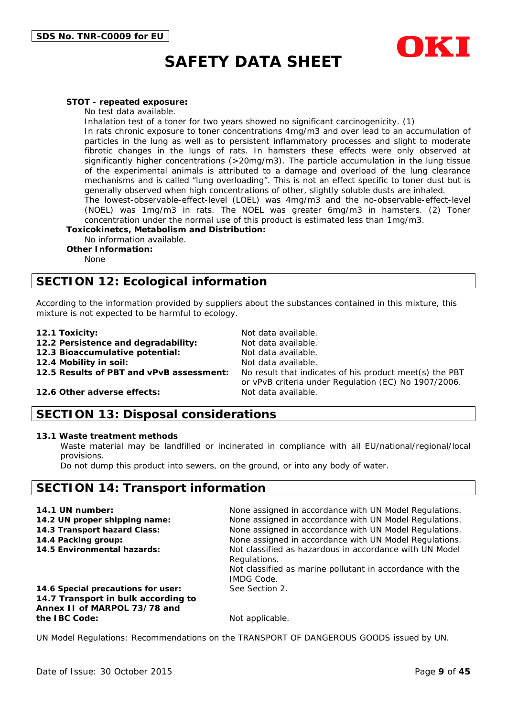

#### **STOT - repeated exposure:**

No test data available.

Inhalation test of a toner for two years showed no significant carcinogenicity. (1)

In rats chronic exposure to toner concentrations 4mg/m3 and over lead to an accumulation of particles in the lung as well as to persistent inflammatory processes and slight to moderate fibrotic changes in the lungs of rats. In hamsters these effects were only observed at significantly higher concentrations (>20mg/m3). The particle accumulation in the lung tissue of the experimental animals is attributed to a damage and overload of the lung clearance mechanisms and is called "lung overloading". This is not an effect specific to toner dust but is generally observed when high concentrations of other, slightly soluble dusts are inhaled.

The lowest-observable-effect-level (LOEL) was 4mg/m3 and the no-observable-effect-level (NOEL) was 1mg/m3 in rats. The NOEL was greater 6mg/m3 in hamsters. (2) Toner concentration under the normal use of this product is estimated less than 1mg/m3.

**Toxicokinetcs, Metabolism and Distribution:**

No information available.

**Other Information:**

None

## **SECTION 12: Ecological information**

According to the information provided by suppliers about the substances contained in this mixture, this mixture is not expected to be harmful to ecology.

- 
- **12.1 Toxicity:** Not data available.<br>**12.2 Persistence and degradability:** Not data available **12.2 Persistence and degradability:**
- **12.3 Bioaccumulative potential:** Not data available.

**12.4 Mobility in soil:** Not data available.<br>**12.5 Results of PBT and vPvB assessment:** No result that indic

No result that indicates of his product meet(s) the PBT or vPvB criteria under Regulation (EC) No 1907/2006.

#### **12.6 Other adverse effects:** Not data available.

### **SECTION 13: Disposal considerations**

#### **13.1 Waste treatment methods**

Waste material may be landfilled or incinerated in compliance with all EU/national/regional/local provisions.

Do not dump this product into sewers, on the ground, or into any body of water.

### **SECTION 14: Transport information**

| 14.1 UN number:                                                     | None assigned in accordance with UN Model Regulations.                                                                                                    |
|---------------------------------------------------------------------|-----------------------------------------------------------------------------------------------------------------------------------------------------------|
| 14.2 UN proper shipping name:                                       | None assigned in accordance with UN Model Regulations.                                                                                                    |
| 14.3 Transport hazard Class:                                        | None assigned in accordance with UN Model Regulations.                                                                                                    |
| 14.4 Packing group:                                                 | None assigned in accordance with UN Model Regulations.                                                                                                    |
| 14.5 Environmental hazards:                                         | Not classified as hazardous in accordance with UN Model<br>Regulations.<br>Not classified as marine pollutant in accordance with the<br><b>IMDG Code.</b> |
| 14.6 Special precautions for user:                                  | See Section 2.                                                                                                                                            |
| 14.7 Transport in bulk according to<br>Annex II of MARPOL 73/78 and |                                                                                                                                                           |
| the IBC Code:                                                       | Not applicable.                                                                                                                                           |
|                                                                     | UN Model Regulations: Recommendations on the TRANSPORT OF DANGEROUS GOODS issued by UN.                                                                   |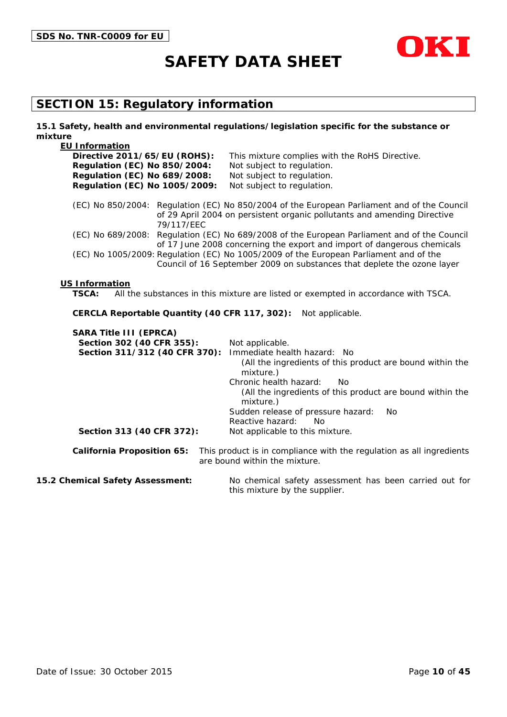



## **SECTION 15: Regulatory information**

#### **15.1 Safety, health and environmental regulations/legislation specific for the substance or mixture**

| <b>EU Information</b>                                                |                                                                                                                                                                         |
|----------------------------------------------------------------------|-------------------------------------------------------------------------------------------------------------------------------------------------------------------------|
| Directive 2011/65/EU (ROHS):                                         | This mixture complies with the RoHS Directive.                                                                                                                          |
| <b>Regulation (EC) No 850/2004:</b>                                  | Not subject to regulation.                                                                                                                                              |
| <b>Regulation (EC) No 689/2008:</b><br>Regulation (EC) No 1005/2009: | Not subject to regulation.<br>Not subject to regulation.                                                                                                                |
|                                                                      |                                                                                                                                                                         |
| 79/117/EEC                                                           | (EC) No 850/2004: Regulation (EC) No 850/2004 of the European Parliament and of the Council<br>of 29 April 2004 on persistent organic pollutants and amending Directive |
|                                                                      | (EC) No 689/2008: Regulation (EC) No 689/2008 of the European Parliament and of the Council                                                                             |
|                                                                      | of 17 June 2008 concerning the export and import of dangerous chemicals                                                                                                 |
|                                                                      | (EC) No 1005/2009: Regulation (EC) No 1005/2009 of the European Parliament and of the                                                                                   |
|                                                                      | Council of 16 September 2009 on substances that deplete the ozone layer                                                                                                 |
| <b>US Information</b><br><b>TSCA:</b>                                | All the substances in this mixture are listed or exempted in accordance with TSCA.                                                                                      |
|                                                                      |                                                                                                                                                                         |
| CERCLA Reportable Quantity (40 CFR 117, 302):                        | Not applicable.                                                                                                                                                         |
| <b>SARA Title III (EPRCA)</b>                                        |                                                                                                                                                                         |
| Section 302 (40 CFR 355):                                            | Not applicable.                                                                                                                                                         |
| Section 311/312 (40 CFR 370):                                        | Immediate health hazard: No                                                                                                                                             |
|                                                                      | (All the ingredients of this product are bound within the                                                                                                               |
|                                                                      | mixture.)                                                                                                                                                               |
|                                                                      | Chronic health hazard:<br>No<br>(All the ingredients of this product are bound within the<br>mixture.)                                                                  |
|                                                                      | Sudden release of pressure hazard:<br>N <sub>o</sub>                                                                                                                    |
|                                                                      | Reactive hazard:<br>No                                                                                                                                                  |
| Section 313 (40 CFR 372):                                            | Not applicable to this mixture.                                                                                                                                         |
| <b>California Proposition 65:</b>                                    | This product is in compliance with the regulation as all ingredients                                                                                                    |

**15.2 Chemical Safety Assessment:** No chemical safety assessment has been carried out for this mixture by the supplier.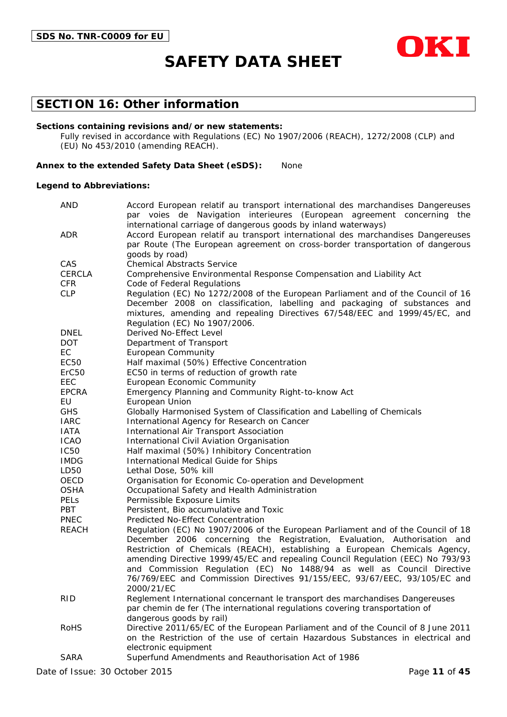

## **SECTION 16: Other information**

#### **Sections containing revisions and/or new statements:**

Fully revised in accordance with Regulations (EC) No 1907/2006 (REACH), 1272/2008 (CLP) and (EU) No 453/2010 (amending REACH).

#### **Annex to the extended Safety Data Sheet (eSDS):** None

#### **Legend to Abbreviations:**

| <b>AND</b>        | Accord European relatif au transport international des marchandises Dangereuses<br>par voies de Navigation interieures (European agreement concerning the |  |  |  |  |
|-------------------|-----------------------------------------------------------------------------------------------------------------------------------------------------------|--|--|--|--|
|                   | international carriage of dangerous goods by inland waterways)                                                                                            |  |  |  |  |
| <b>ADR</b>        | Accord European relatif au transport international des marchandises Dangereuses                                                                           |  |  |  |  |
|                   | par Route (The European agreement on cross-border transportation of dangerous                                                                             |  |  |  |  |
|                   | goods by road)                                                                                                                                            |  |  |  |  |
| CAS               | <b>Chemical Abstracts Service</b>                                                                                                                         |  |  |  |  |
| <b>CERCLA</b>     | Comprehensive Environmental Response Compensation and Liability Act                                                                                       |  |  |  |  |
| <b>CFR</b>        | Code of Federal Regulations                                                                                                                               |  |  |  |  |
| <b>CLP</b>        | Regulation (EC) No 1272/2008 of the European Parliament and of the Council of 16                                                                          |  |  |  |  |
|                   | December 2008 on classification, labelling and packaging of substances and                                                                                |  |  |  |  |
|                   | mixtures, amending and repealing Directives 67/548/EEC and 1999/45/EC, and                                                                                |  |  |  |  |
|                   | Regulation (EC) No 1907/2006.                                                                                                                             |  |  |  |  |
| <b>DNEL</b>       | Derived No-Effect Level                                                                                                                                   |  |  |  |  |
| DOT.              | Department of Transport                                                                                                                                   |  |  |  |  |
| EC                | <b>European Community</b>                                                                                                                                 |  |  |  |  |
| EC50              | Half maximal (50%) Effective Concentration                                                                                                                |  |  |  |  |
| ErC <sub>50</sub> | EC50 in terms of reduction of growth rate                                                                                                                 |  |  |  |  |
| EEC               | European Economic Community                                                                                                                               |  |  |  |  |
| <b>EPCRA</b>      | Emergency Planning and Community Right-to-know Act                                                                                                        |  |  |  |  |
| EU                | European Union                                                                                                                                            |  |  |  |  |
| <b>GHS</b>        | Globally Harmonised System of Classification and Labelling of Chemicals                                                                                   |  |  |  |  |
| <b>IARC</b>       | International Agency for Research on Cancer                                                                                                               |  |  |  |  |
| <b>IATA</b>       | International Air Transport Association                                                                                                                   |  |  |  |  |
| <b>ICAO</b>       | International Civil Aviation Organisation                                                                                                                 |  |  |  |  |
| <b>IC50</b>       | Half maximal (50%) Inhibitory Concentration                                                                                                               |  |  |  |  |
| <b>IMDG</b>       | International Medical Guide for Ships                                                                                                                     |  |  |  |  |
| LD50              | Lethal Dose, 50% kill                                                                                                                                     |  |  |  |  |
| OECD              | Organisation for Economic Co-operation and Development                                                                                                    |  |  |  |  |
| <b>OSHA</b>       | Occupational Safety and Health Administration                                                                                                             |  |  |  |  |
| <b>PELS</b>       | Permissible Exposure Limits                                                                                                                               |  |  |  |  |
| PBT               | Persistent, Bio accumulative and Toxic                                                                                                                    |  |  |  |  |
| <b>PNEC</b>       | Predicted No-Effect Concentration                                                                                                                         |  |  |  |  |
| <b>REACH</b>      | Regulation (EC) No 1907/2006 of the European Parliament and of the Council of 18                                                                          |  |  |  |  |
|                   | December 2006 concerning the Registration, Evaluation, Authorisation and<br>Restriction of Chemicals (REACH), establishing a European Chemicals Agency,   |  |  |  |  |
|                   | amending Directive 1999/45/EC and repealing Council Regulation (EEC) No 793/93                                                                            |  |  |  |  |
|                   | and Commission Regulation (EC) No 1488/94 as well as Council Directive                                                                                    |  |  |  |  |
|                   | 76/769/EEC and Commission Directives 91/155/EEC, 93/67/EEC, 93/105/EC and                                                                                 |  |  |  |  |
|                   | 2000/21/EC                                                                                                                                                |  |  |  |  |
| <b>RID</b>        | Reglement International concernant le transport des marchandises Dangereuses                                                                              |  |  |  |  |
|                   | par chemin de fer (The international regulations covering transportation of                                                                               |  |  |  |  |
|                   | dangerous goods by rail)                                                                                                                                  |  |  |  |  |
| <b>RoHS</b>       | Directive 2011/65/EC of the European Parliament and of the Council of 8 June 2011                                                                         |  |  |  |  |
|                   | on the Restriction of the use of certain Hazardous Substances in electrical and                                                                           |  |  |  |  |
|                   | electronic equipment                                                                                                                                      |  |  |  |  |
| <b>SARA</b>       | Superfund Amendments and Reauthorisation Act of 1986                                                                                                      |  |  |  |  |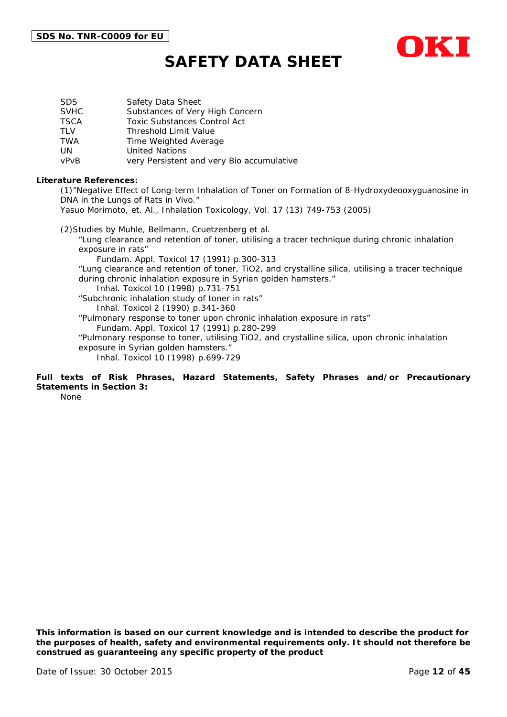

| SDS.        | Safety Data Sheet                         |
|-------------|-------------------------------------------|
| <b>SVHC</b> | Substances of Very High Concern           |
| TSCA        | <b>Toxic Substances Control Act</b>       |
| TLV         | <b>Threshold Limit Value</b>              |
| TWA         | Time Weighted Average                     |
| UN          | <b>United Nations</b>                     |
| vPvB        | very Persistent and very Bio accumulative |

#### **Literature References:**

(1)"Negative Effect of Long-term Inhalation of Toner on Formation of 8-Hydroxydeooxyguanosine in DNA in the Lungs of Rats in Vivo."

Yasuo Morimoto, et. Al., Inhalation Toxicology, Vol. 17 (13) 749-753 (2005)

(2)Studies by Muhle, Bellmann, Cruetzenberg et al. "Lung clearance and retention of toner, utilising a tracer technique during chronic inhalation exposure in rats" Fundam. Appl. Toxicol 17 (1991) p.300-313 "Lung clearance and retention of toner, TiO2, and crystalline silica, utilising a tracer technique during chronic inhalation exposure in Syrian golden hamsters." Inhal. Toxicol 10 (1998) p.731-751 "Subchronic inhalation study of toner in rats" Inhal. Toxicol 2 (1990) p.341-360 "Pulmonary response to toner upon chronic inhalation exposure in rats" Fundam. Appl. Toxicol 17 (1991) p.280-299 "Pulmonary response to toner, utilising TiO2, and crystalline silica, upon chronic inhalation exposure in Syrian golden hamsters." Inhal. Toxicol 10 (1998) p.699-729

#### **Full texts of Risk Phrases, Hazard Statements, Safety Phrases and/or Precautionary Statements in Section 3:**

None

*This information is based on our current knowledge and is intended to describe the product for the purposes of health, safety and environmental requirements only. It should not therefore be construed as guaranteeing any specific property of the product*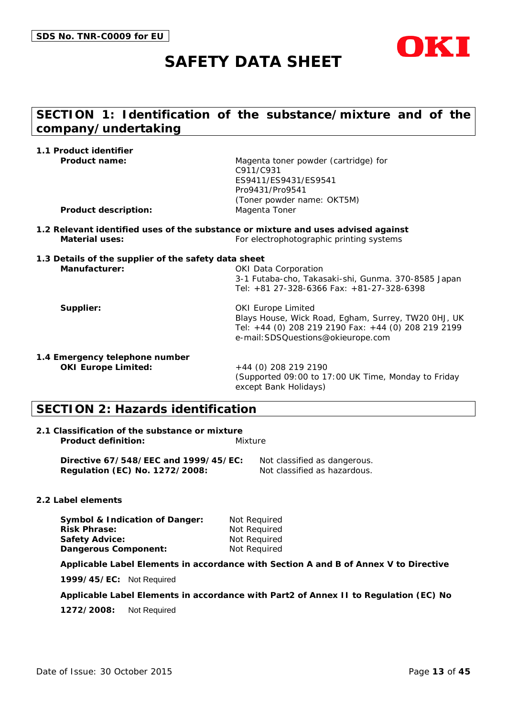

## **SECTION 1: Identification of the substance/mixture and of the company/undertaking**

| 1.1 Product identifier                               |                                                                                                                               |
|------------------------------------------------------|-------------------------------------------------------------------------------------------------------------------------------|
| <b>Product name:</b>                                 | Magenta toner powder (cartridge) for<br>C911/C931                                                                             |
|                                                      | ES9411/ES9431/ES9541                                                                                                          |
|                                                      | Pro9431/Pro9541                                                                                                               |
|                                                      | (Toner powder name: OKT5M)                                                                                                    |
| <b>Product description:</b>                          | Magenta Toner                                                                                                                 |
| Material uses:                                       | 1.2 Relevant identified uses of the substance or mixture and uses advised against<br>For electrophotographic printing systems |
|                                                      |                                                                                                                               |
| 1.3 Details of the supplier of the safety data sheet |                                                                                                                               |
| Manufacturer:                                        | <b>OKI Data Corporation</b>                                                                                                   |
|                                                      | 3-1 Futaba-cho, Takasaki-shi, Gunma. 370-8585 Japan<br>Tel: +81 27-328-6366 Fax: +81-27-328-6398                              |
| Supplier:                                            | <b>OKI Europe Limited</b>                                                                                                     |
|                                                      | Blays House, Wick Road, Egham, Surrey, TW20 OHJ, UK                                                                           |
|                                                      | Tel: +44 (0) 208 219 2190 Fax: +44 (0) 208 219 2199                                                                           |
|                                                      | e-mail: SDSQuestions@okieurope.com                                                                                            |
| 1.4 Emergency telephone number                       |                                                                                                                               |
| <b>OKI Europe Limited:</b>                           | $+44$ (0) 208 219 2190                                                                                                        |
|                                                      | (Supported 09:00 to 17:00 UK Time, Monday to Friday                                                                           |

except Bank Holidays)

## **SECTION 2: Hazards identification**

#### **2.1 Classification of the substance or mixture Product definition:** Mixture

**Directive 67/548/EEC and 1999/45/EC:** Not classified as dangerous. **Regulation (EC) No. 1272/2008:** Not classified as hazardous.

#### **2.2 Label elements**

**Symbol & Indication of Danger:** Not Required **Risk Phrase:** Not Required **Safety Advice:** Not Required **Dangerous Component:** Not Required

**Applicable Label Elements in accordance with Section A and B of Annex V to Directive** 

**1999/45/EC:** Not Required

**Applicable Label Elements in accordance with Part2 of Annex II to Regulation (EC) No** 

**1272/2008:** Not Required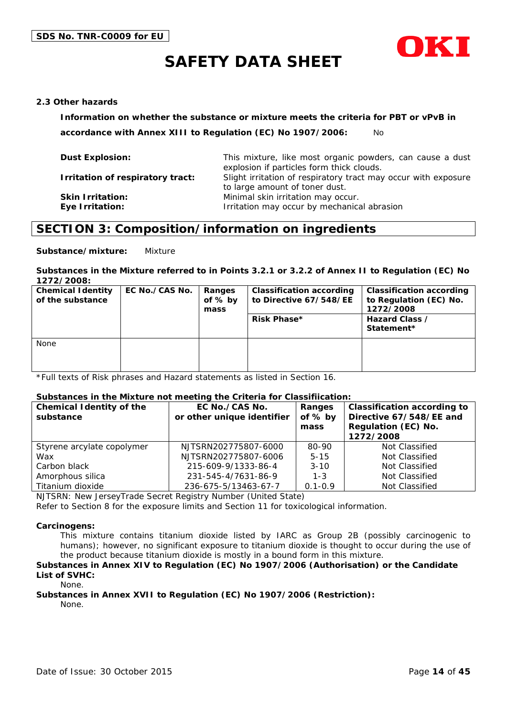

#### **2.3 Other hazards**

**Information on whether the substance or mixture meets the criteria for PBT or vPvB in** 

**accordance with Annex XIII to Regulation (EC) No 1907/2006:** No

| <b>Dust Explosion:</b>           | This mixture, like most organic powders, can cause a dust<br>explosion if particles form thick clouds. |
|----------------------------------|--------------------------------------------------------------------------------------------------------|
| Irritation of respiratory tract: | Slight irritation of respiratory tract may occur with exposure<br>to large amount of toner dust.       |
| <b>Skin Irritation:</b>          | Minimal skin irritation may occur.                                                                     |
| Eye Irritation:                  | Irritation may occur by mechanical abrasion                                                            |

### **SECTION 3: Composition/information on ingredients**

**Substance/mixture:** Mixture

#### **Substances in the Mixture referred to in Points 3.2.1 or 3.2.2 of Annex II to Regulation (EC) No 1272/2008:**

| <b>Chemical Identity</b><br>of the substance | EC No./CAS No. | Ranges<br>of $%$ by<br>mass | <b>Classification according</b><br>to Directive 67/548/EE<br>Risk Phase* | <b>Classification according</b><br>to Regulation (EC) No.<br>1272/2008<br>Hazard Class /<br>Statement* |
|----------------------------------------------|----------------|-----------------------------|--------------------------------------------------------------------------|--------------------------------------------------------------------------------------------------------|
| None                                         |                |                             |                                                                          |                                                                                                        |

\*Full texts of Risk phrases and Hazard statements as listed in Section 16.

#### **Substances in the Mixture not meeting the Criteria for Classifiication:**

| <b>Chemical Identity of the</b><br>substance | EC No./CAS No.<br>or other unique identifier | Ranges<br>of $%$ by<br>mass | <b>Classification according to</b><br>Directive 67/548/EE and<br>Regulation (EC) No.<br>1272/2008 |
|----------------------------------------------|----------------------------------------------|-----------------------------|---------------------------------------------------------------------------------------------------|
| Styrene arcylate copolymer                   | NJTSRN202775807-6000                         | 80-90                       | Not Classified                                                                                    |
| Wax                                          | NJTSRN202775807-6006                         | $5 - 15$                    | Not Classified                                                                                    |
| Carbon black                                 | 215-609-9/1333-86-4                          | $3 - 10$                    | Not Classified                                                                                    |
| Amorphous silica                             | 231-545-4/7631-86-9                          | $1 - 3$                     | Not Classified                                                                                    |
| Titanium dioxide                             | 236-675-5/13463-67-7                         | $0.1 - 0.9$                 | Not Classified                                                                                    |

NJTSRN: New JerseyTrade Secret Registry Number (United State)

Refer to Section 8 for the exposure limits and Section 11 for toxicological information.

#### **Carcinogens:**

This mixture contains titanium dioxide listed by IARC as Group 2B (possibly carcinogenic to humans); however, no significant exposure to titanium dioxide is thought to occur during the use of the product because titanium dioxide is mostly in a bound form in this mixture.

#### **Substances in Annex XIV to Regulation (EC) No 1907/2006 (Authorisation) or the Candidate List of SVHC:**

None.

### **Substances in Annex XVII to Regulation (EC) No 1907/2006 (Restriction):**

None.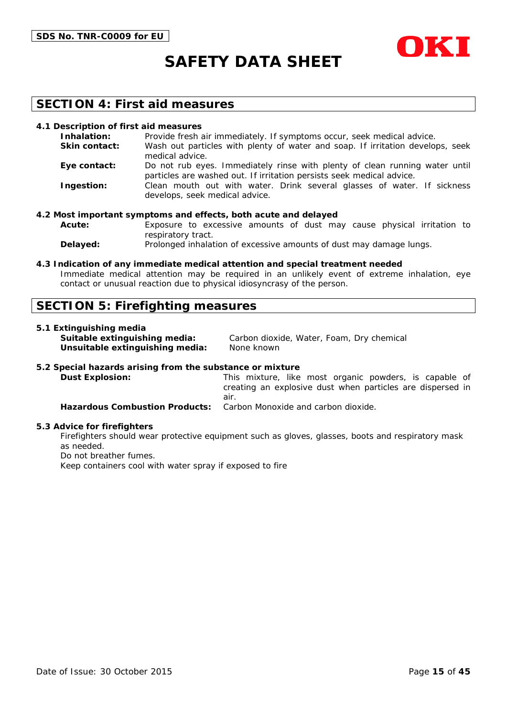



### **SECTION 4: First aid measures**

#### **4.1 Description of first aid measures**

| Inhalation:          | Provide fresh air immediately. If symptoms occur, seek medical advice.                                                                               |
|----------------------|------------------------------------------------------------------------------------------------------------------------------------------------------|
| <b>Skin contact:</b> | Wash out particles with plenty of water and soap. If irritation develops, seek<br>medical advice.                                                    |
| Eye contact:         | Do not rub eyes. Immediately rinse with plenty of clean running water until<br>particles are washed out. If irritation persists seek medical advice. |
| Ingestion:           | Clean mouth out with water. Drink several glasses of water. If sickness<br>develops, seek medical advice.                                            |

#### **4.2 Most important symptoms and effects, both acute and delayed**

**Acute:** Exposure to excessive amounts of dust may cause physical irritation to respiratory tract.

**Delayed:** Prolonged inhalation of excessive amounts of dust may damage lungs.

#### **4.3 Indication of any immediate medical attention and special treatment needed**

Immediate medical attention may be required in an unlikely event of extreme inhalation, eye contact or unusual reaction due to physical idiosyncrasy of the person.

#### **SECTION 5: Firefighting measures**

#### **5.1 Extinguishing media**

**Unsuitable extinguishing media:** None known

**Suitable extinguishing media:** Carbon dioxide, Water, Foam, Dry chemical

#### **5.2 Special hazards arising from the substance or mixture**

**Dust Explosion:** This mixture, like most organic powders, is capable of creating an explosive dust when particles are dispersed in air. **Hazardous Combustion Products:** Carbon Monoxide and carbon dioxide.

#### **5.3 Advice for firefighters**

Firefighters should wear protective equipment such as gloves, glasses, boots and respiratory mask as needed.

Do not breather fumes.

Keep containers cool with water spray if exposed to fire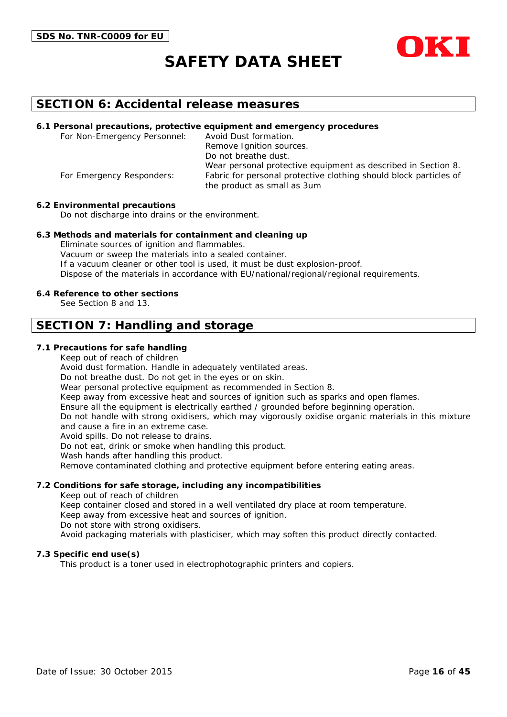



### **SECTION 6: Accidental release measures**

#### **6.1 Personal precautions, protective equipment and emergency procedures**

For Non-Emergency Personnel: Avoid Dust formation. Remove Ignition sources. Do not breathe dust. Wear personal protective equipment as described in Section 8. For Emergency Responders: Fabric for personal protective clothing should block particles of the product as small as 3um

#### **6.2 Environmental precautions**

Do not discharge into drains or the environment.

#### **6.3 Methods and materials for containment and cleaning up**

Eliminate sources of ignition and flammables. Vacuum or sweep the materials into a sealed container. If a vacuum cleaner or other tool is used, it must be dust explosion-proof. Dispose of the materials in accordance with EU/national/regional/regional requirements.

#### **6.4 Reference to other sections**

See Section 8 and 13.

### **SECTION 7: Handling and storage**

#### **7.1 Precautions for safe handling**

Keep out of reach of children

Avoid dust formation. Handle in adequately ventilated areas.

Do not breathe dust. Do not get in the eyes or on skin.

Wear personal protective equipment as recommended in Section 8.

Keep away from excessive heat and sources of ignition such as sparks and open flames.

Ensure all the equipment is electrically earthed / grounded before beginning operation.

Do not handle with strong oxidisers, which may vigorously oxidise organic materials in this mixture and cause a fire in an extreme case.

Avoid spills. Do not release to drains.

Do not eat, drink or smoke when handling this product.

Wash hands after handling this product.

Remove contaminated clothing and protective equipment before entering eating areas.

#### **7.2 Conditions for safe storage, including any incompatibilities**

Keep out of reach of children

Keep container closed and stored in a well ventilated dry place at room temperature.

Keep away from excessive heat and sources of ignition.

Do not store with strong oxidisers.

Avoid packaging materials with plasticiser, which may soften this product directly contacted.

#### **7.3 Specific end use(s)**

This product is a toner used in electrophotographic printers and copiers.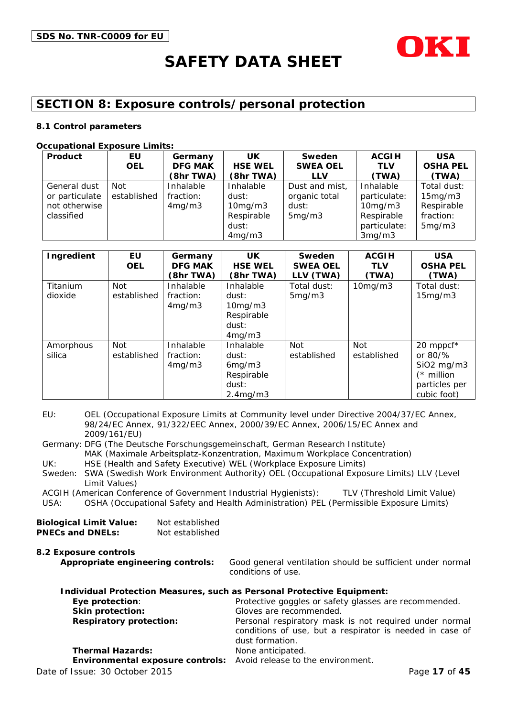

## **SECTION 8: Exposure controls/personal protection**

#### **8.1 Control parameters**

#### **Occupational Exposure Limits:**

| Product        | EU          | Germany        | UK             | Sweden          | <b>ACGIH</b>  | <b>USA</b>      |
|----------------|-------------|----------------|----------------|-----------------|---------------|-----------------|
|                | <b>OEL</b>  | <b>DFG MAK</b> | <b>HSE WEL</b> | <b>SWEA OEL</b> | <b>TLV</b>    | <b>OSHA PEL</b> |
|                |             | (8hr TWA)      | (8hr TWA)      | <b>LLV</b>      | (TWA)         | (TWA)           |
| General dust   | Not         | Inhalable      | Inhalable      | Dust and mist,  | Inhalable     | Total dust:     |
| or particulate | established | fraction:      | dust:          | organic total   | particulate:  | 15mg/m3         |
| not otherwise  |             | 4mg/m3         | 10mg/m3        | dust:           | $10$ mg/m $3$ | Respirable      |
| classified     |             |                | Respirable     | 5mg/m3          | Respirable    | fraction:       |
|                |             |                | dust:          |                 | particulate:  | 5mg/m3          |
|                |             |                | 4mg/m3         |                 | 3mg/m3        |                 |

| Ingredient          | EU<br><b>OEL</b>          | Germany<br><b>DFG MAK</b><br>(8hr TWA) | UK.<br><b>HSE WEL</b><br>(8hr TWA)                                           | Sweden<br><b>SWEA OEL</b><br>LLV (TWA) | <b>ACGIH</b><br><b>TLV</b><br>(TWA) | <b>USA</b><br><b>OSHA PEL</b><br>(TWA)                                                             |
|---------------------|---------------------------|----------------------------------------|------------------------------------------------------------------------------|----------------------------------------|-------------------------------------|----------------------------------------------------------------------------------------------------|
| Titanium<br>dioxide | <b>Not</b><br>established | Inhalable<br>fraction:<br>4mg/m3       | Inhalable<br>dust:<br>10mg/m3<br>Respirable<br>dust:<br>4mg/m3               | Total dust:<br>5mg/m3                  | 10mg/m3                             | Total dust:<br>15mg/m3                                                                             |
| Amorphous<br>silica | <b>Not</b><br>established | Inhalable<br>fraction:<br>4mg/m3       | Inhalable<br>dust:<br>6mg/m3<br>Respirable<br>dust:<br>2.4 <sub>mq</sub> /m3 | Not<br>established                     | <b>Not</b><br>established           | 20 mppcf*<br>or $80\frac{9}{6}$<br>$SiO2$ mg/m $3$<br>$(*$ million<br>particles per<br>cubic foot) |

EU: OEL (Occupational Exposure Limits at Community level under Directive 2004/37/EC Annex, 98/24/EC Annex, 91/322/EEC Annex, 2000/39/EC Annex, 2006/15/EC Annex and 2009/161/EU)

Germany: DFG (The Deutsche Forschungsgemeinschaft, German Research Institute) MAK (Maximale Arbeitsplatz-Konzentration, Maximum Workplace Concentration) UK: HSE (Health and Safety Executive) WEL (Workplace Exposure Limits)

Sweden: SWA (Swedish Work Environment Authority) OEL (Occupational Exposure Limits) LLV (Level Limit Values)

ACGIH (American Conference of Government Industrial Hygienists): TLV (Threshold Limit Value)

USA: OSHA (Occupational Safety and Health Administration) PEL (Permissible Exposure Limits)

| <b>Biological Limit Value:</b> | Not established |
|--------------------------------|-----------------|
| <b>PNECs and DNELs:</b>        | Not established |

**8.2 Exposure controls Appropriate engineering controls:** Good general ventilation should be sufficient under normal conditions of use. **Individual Protection Measures, such as Personal Protective Equipment:**

| Thurviqual Protection Measures, such as Personal Protective Equipment:                                                                |
|---------------------------------------------------------------------------------------------------------------------------------------|
| Protective goggles or safety glasses are recommended.                                                                                 |
| Gloves are recommended.                                                                                                               |
| Personal respiratory mask is not required under normal<br>conditions of use, but a respirator is needed in case of<br>dust formation. |
| None anticipated.                                                                                                                     |
| Environmental exposure controls: Avoid release to the environment.                                                                    |
| Page 17 of 45                                                                                                                         |
|                                                                                                                                       |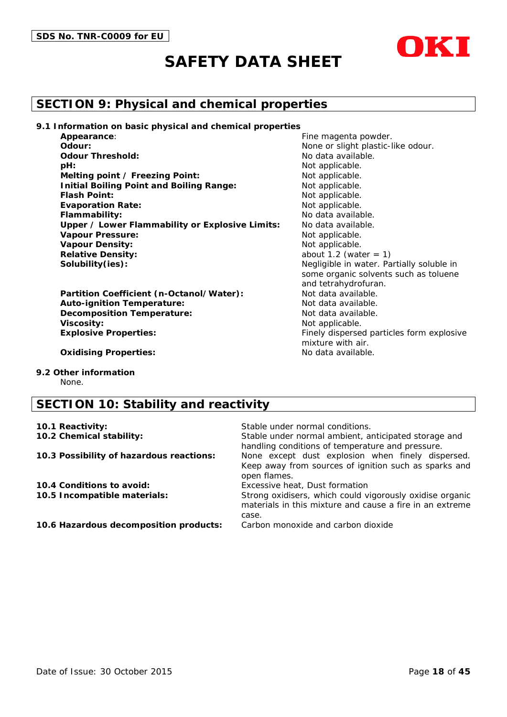

## **SECTION 9: Physical and chemical properties**

**9.1 Information on basic physical and chemical properties**

| Appearance:                                     |
|-------------------------------------------------|
| Odour:                                          |
| <b>Odour Threshold:</b>                         |
| pH:                                             |
| Melting point / Freezing Point:                 |
| <b>Initial Boiling Point and Boiling Range:</b> |
| <b>Flash Point:</b>                             |
| <b>Evaporation Rate:</b>                        |
| Flammability:                                   |
| Upper / Lower Flammability or Explosive Limits: |
| <b>Vapour Pressure:</b>                         |
| <b>Vapour Density:</b>                          |
| <b>Relative Density:</b>                        |
| Solubility(ies):                                |

Partition Coefficient (n-Octanol/Water): Not data available. **Auto-ignition Temperature:** Not data available. **Decomposition Temperature:** Not data available. **Viscosity:** Not applicable. **Explosive Properties:** Finely dispersed particles form explosive

None or slight plastic-like odour. No data available. Not applicable. **Not applicable. Not applicable.** Not applicable. Not applicable. **Flammability:** No data available. No data available. **Not applicable. Not applicable.** about  $1.2$  (water  $= 1$ ) Negligible in water. Partially soluble in some organic solvents such as toluene and tetrahydrofuran. mixture with air.

Fine magenta powder.

**Oxidising Properties:** No data available.

**9.2 Other information**

None.

## **SECTION 10: Stability and reactivity**

| 10.1 Reactivity:                         | Stable under normal conditions.                                                                                               |
|------------------------------------------|-------------------------------------------------------------------------------------------------------------------------------|
| 10.2 Chemical stability:                 | Stable under normal ambient, anticipated storage and<br>handling conditions of temperature and pressure.                      |
| 10.3 Possibility of hazardous reactions: | None except dust explosion when finely dispersed.<br>Keep away from sources of ignition such as sparks and<br>open flames.    |
| 10.4 Conditions to avoid:                | Excessive heat, Dust formation                                                                                                |
| 10.5 Incompatible materials:             | Strong oxidisers, which could vigorously oxidise organic<br>materials in this mixture and cause a fire in an extreme<br>case. |
| 10.6 Hazardous decomposition products:   | Carbon monoxide and carbon dioxide                                                                                            |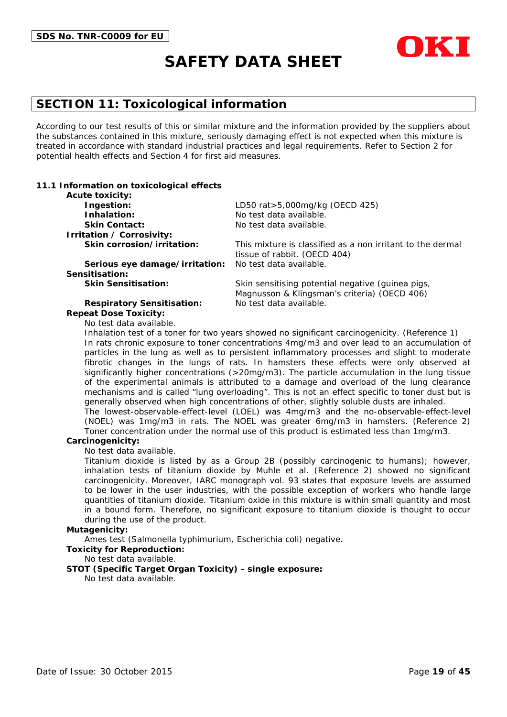

## **SECTION 11: Toxicological information**

According to our test results of this or similar mixture and the information provided by the suppliers about the substances contained in this mixture, seriously damaging effect is not expected when this mixture is treated in accordance with standard industrial practices and legal requirements. Refer to Section 2 for potential health effects and Section 4 for first aid measures.

#### **11.1 Information on toxicological effects**

| <b>Acute toxicity:</b>            |                                                                                                   |
|-----------------------------------|---------------------------------------------------------------------------------------------------|
| Ingestion:                        | LD50 rat > 5,000mg/kg (OECD 425)                                                                  |
| Inhalation:                       | No test data available.                                                                           |
| <b>Skin Contact:</b>              | No test data available.                                                                           |
| Irritation / Corrosivity:         |                                                                                                   |
| Skin corrosion/irritation:        | This mixture is classified as a non irritant to the dermal<br>tissue of rabbit. (OECD 404)        |
| Serious eye damage/irritation:    | No test data available.                                                                           |
| Sensitisation:                    |                                                                                                   |
| <b>Skin Sensitisation:</b>        | Skin sensitising potential negative (guinea pigs,<br>Magnusson & Klingsman's criteria) (OECD 406) |
| <b>Respiratory Sensitisation:</b> | No test data available.                                                                           |
| <b>Repeat Dose Toxicity:</b>      |                                                                                                   |

No test data available.

Inhalation test of a toner for two years showed no significant carcinogenicity. (Reference 1) In rats chronic exposure to toner concentrations 4mg/m3 and over lead to an accumulation of particles in the lung as well as to persistent inflammatory processes and slight to moderate fibrotic changes in the lungs of rats. In hamsters these effects were only observed at significantly higher concentrations (>20mg/m3). The particle accumulation in the lung tissue of the experimental animals is attributed to a damage and overload of the lung clearance mechanisms and is called "lung overloading". This is not an effect specific to toner dust but is generally observed when high concentrations of other, slightly soluble dusts are inhaled. The lowest-observable-effect-level (LOEL) was 4mg/m3 and the no-observable-effect-level

(NOEL) was 1mg/m3 in rats. The NOEL was greater 6mg/m3 in hamsters. (Reference 2) Toner concentration under the normal use of this product is estimated less than 1mg/m3.

#### **Carcinogenicity:**

No test data available.

Titanium dioxide is listed by as a Group 2B (possibly carcinogenic to humans); however, inhalation tests of titanium dioxide by Muhle et al. (Reference 2) showed no significant carcinogenicity. Moreover, IARC monograph vol. 93 states that exposure levels are assumed to be lower in the user industries, with the possible exception of workers who handle large quantities of titanium dioxide. Titanium oxide in this mixture is within small quantity and most in a bound form. Therefore, no significant exposure to titanium dioxide is thought to occur during the use of the product.

#### **Mutagenicity:**

Ames test (Salmonella typhimurium, Escherichia coli) negative.

#### **Toxicity for Reproduction:**

No test data available.

#### **STOT (Specific Target Organ Toxicity) - single exposure:**

No test data available.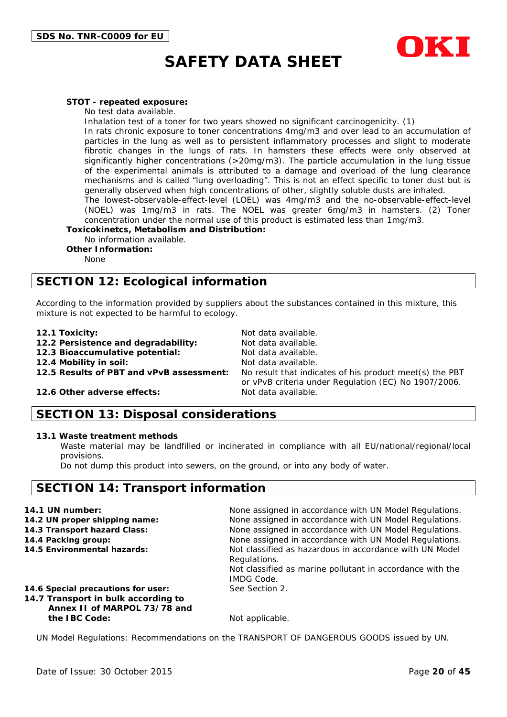

#### **STOT - repeated exposure:**

No test data available.

Inhalation test of a toner for two years showed no significant carcinogenicity. (1)

In rats chronic exposure to toner concentrations 4mg/m3 and over lead to an accumulation of particles in the lung as well as to persistent inflammatory processes and slight to moderate fibrotic changes in the lungs of rats. In hamsters these effects were only observed at significantly higher concentrations (>20mg/m3). The particle accumulation in the lung tissue of the experimental animals is attributed to a damage and overload of the lung clearance mechanisms and is called "lung overloading". This is not an effect specific to toner dust but is generally observed when high concentrations of other, slightly soluble dusts are inhaled.

The lowest-observable-effect-level (LOEL) was 4mg/m3 and the no-observable-effect-level (NOEL) was 1mg/m3 in rats. The NOEL was greater 6mg/m3 in hamsters. (2) Toner concentration under the normal use of this product is estimated less than 1mg/m3.

**Toxicokinetcs, Metabolism and Distribution:**

No information available.

**Other Information:**

None

## **SECTION 12: Ecological information**

According to the information provided by suppliers about the substances contained in this mixture, this mixture is not expected to be harmful to ecology.

- 
- **12.1 Toxicity:** Not data available.<br>**12.2 Persistence and degradability:** Not data available **12.2 Persistence and degradability:**
- **12.3 Bioaccumulative potential:** Not data available.

**12.4 Mobility in soil:** Not data available.

**12.5 Results of PBT and vPvB assessment:** No result that indicates of his product meet(s) the PBT or vPvB criteria under Regulation (EC) No 1907/2006.

#### **12.6 Other adverse effects:** Not data available.

### **SECTION 13: Disposal considerations**

#### **13.1 Waste treatment methods**

Waste material may be landfilled or incinerated in compliance with all EU/national/regional/local provisions.

Do not dump this product into sewers, on the ground, or into any body of water.

### **SECTION 14: Transport information**

| 14.1 UN number:                                                                                           | None assigned in accordance with UN Model Regulations.                                                                                                    |
|-----------------------------------------------------------------------------------------------------------|-----------------------------------------------------------------------------------------------------------------------------------------------------------|
| 14.2 UN proper shipping name:                                                                             | None assigned in accordance with UN Model Regulations.                                                                                                    |
| 14.3 Transport hazard Class:                                                                              | None assigned in accordance with UN Model Regulations.                                                                                                    |
| 14.4 Packing group:                                                                                       | None assigned in accordance with UN Model Regulations.                                                                                                    |
| 14.5 Environmental hazards:                                                                               | Not classified as hazardous in accordance with UN Model<br>Regulations.<br>Not classified as marine pollutant in accordance with the<br><b>IMDG Code.</b> |
| 14.6 Special precautions for user:<br>14.7 Transport in bulk according to<br>Annex II of MARPOL 73/78 and | See Section 2.                                                                                                                                            |
| the IBC Code:                                                                                             | Not applicable.                                                                                                                                           |

UN Model Regulations: Recommendations on the TRANSPORT OF DANGEROUS GOODS issued by UN.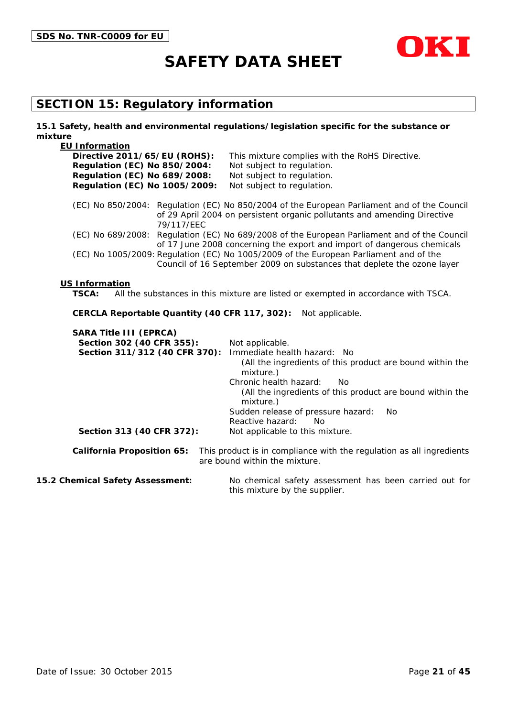



## **SECTION 15: Regulatory information**

#### **15.1 Safety, health and environmental regulations/legislation specific for the substance or mixture**

| <b>EU Information</b>                                                                                                       |                                                                                                                                                                         |  |  |
|-----------------------------------------------------------------------------------------------------------------------------|-------------------------------------------------------------------------------------------------------------------------------------------------------------------------|--|--|
| Directive 2011/65/EU (ROHS):                                                                                                | This mixture complies with the RoHS Directive.                                                                                                                          |  |  |
| <b>Regulation (EC) No 850/2004:</b>                                                                                         | Not subject to regulation.                                                                                                                                              |  |  |
| <b>Regulation (EC) No 689/2008:</b>                                                                                         | Not subject to regulation.                                                                                                                                              |  |  |
| Regulation (EC) No 1005/2009:                                                                                               | Not subject to regulation.                                                                                                                                              |  |  |
| 79/117/EEC                                                                                                                  | (EC) No 850/2004: Regulation (EC) No 850/2004 of the European Parliament and of the Council<br>of 29 April 2004 on persistent organic pollutants and amending Directive |  |  |
|                                                                                                                             | (EC) No 689/2008: Regulation (EC) No 689/2008 of the European Parliament and of the Council<br>of 17 June 2008 concerning the export and import of dangerous chemicals  |  |  |
|                                                                                                                             | (EC) No 1005/2009: Regulation (EC) No 1005/2009 of the European Parliament and of the<br>Council of 16 September 2009 on substances that deplete the ozone layer        |  |  |
| <b>US Information</b><br><b>TSCA:</b><br>All the substances in this mixture are listed or exempted in accordance with TSCA. |                                                                                                                                                                         |  |  |
| CERCLA Reportable Quantity (40 CFR 117, 302):<br>Not applicable.                                                            |                                                                                                                                                                         |  |  |
| <b>SARA Title III (EPRCA)</b>                                                                                               |                                                                                                                                                                         |  |  |
| Section 302 (40 CFR 355):                                                                                                   | Not applicable.                                                                                                                                                         |  |  |
| Section 311/312 (40 CFR 370):                                                                                               | Immediate health hazard: No                                                                                                                                             |  |  |
|                                                                                                                             | (All the ingredients of this product are bound within the<br>mixture.)                                                                                                  |  |  |
|                                                                                                                             | Chronic health hazard:<br>No.                                                                                                                                           |  |  |
|                                                                                                                             | (All the ingredients of this product are bound within the<br>mixture.)                                                                                                  |  |  |
|                                                                                                                             | Sudden release of pressure hazard:<br><b>No</b>                                                                                                                         |  |  |
|                                                                                                                             | Reactive hazard:<br>No                                                                                                                                                  |  |  |
| Section 313 (40 CFR 372):                                                                                                   | Not applicable to this mixture.                                                                                                                                         |  |  |
| <b>California Proposition 65:</b>                                                                                           | This product is in compliance with the regulation as all ingredients<br>are bound within the mixture.                                                                   |  |  |
|                                                                                                                             |                                                                                                                                                                         |  |  |

**15.2 Chemical Safety Assessment:** No chemical safety assessment has been carried out for this mixture by the supplier.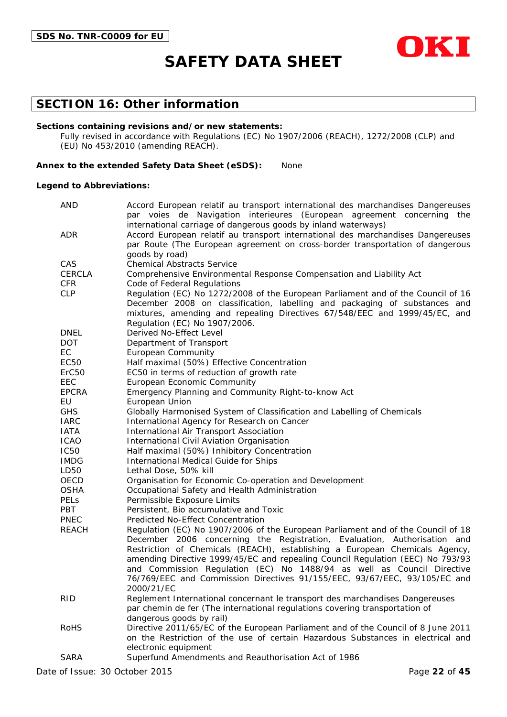

### **SECTION 16: Other information**

#### **Sections containing revisions and/or new statements:**

Fully revised in accordance with Regulations (EC) No 1907/2006 (REACH), 1272/2008 (CLP) and (EU) No 453/2010 (amending REACH).

#### **Annex to the extended Safety Data Sheet (eSDS):** None

#### **Legend to Abbreviations:**

| <b>AND</b>        | Accord European relatif au transport international des marchandises Dangereuses                                                                             |
|-------------------|-------------------------------------------------------------------------------------------------------------------------------------------------------------|
|                   | par voies de Navigation interieures (European agreement concerning the                                                                                      |
| <b>ADR</b>        | international carriage of dangerous goods by inland waterways)<br>Accord European relatif au transport international des marchandises Dangereuses           |
|                   | par Route (The European agreement on cross-border transportation of dangerous                                                                               |
|                   | goods by road)                                                                                                                                              |
| CAS               | <b>Chemical Abstracts Service</b>                                                                                                                           |
| <b>CERCLA</b>     | Comprehensive Environmental Response Compensation and Liability Act                                                                                         |
| <b>CFR</b>        | Code of Federal Regulations                                                                                                                                 |
| <b>CLP</b>        | Regulation (EC) No 1272/2008 of the European Parliament and of the Council of 16                                                                            |
|                   | December 2008 on classification, labelling and packaging of substances and                                                                                  |
|                   | mixtures, amending and repealing Directives 67/548/EEC and 1999/45/EC, and                                                                                  |
|                   | Regulation (EC) No 1907/2006.                                                                                                                               |
| <b>DNEL</b>       | Derived No-Effect Level                                                                                                                                     |
| DOT.              | Department of Transport                                                                                                                                     |
| EC                | <b>European Community</b>                                                                                                                                   |
| EC50              | Half maximal (50%) Effective Concentration                                                                                                                  |
| ErC <sub>50</sub> | EC50 in terms of reduction of growth rate                                                                                                                   |
| EEC               | European Economic Community                                                                                                                                 |
| <b>EPCRA</b>      | Emergency Planning and Community Right-to-know Act                                                                                                          |
| EU                | European Union                                                                                                                                              |
| <b>GHS</b>        | Globally Harmonised System of Classification and Labelling of Chemicals                                                                                     |
| <b>IARC</b>       | International Agency for Research on Cancer                                                                                                                 |
| <b>IATA</b>       | International Air Transport Association                                                                                                                     |
| <b>ICAO</b>       | International Civil Aviation Organisation                                                                                                                   |
| <b>IC50</b>       | Half maximal (50%) Inhibitory Concentration                                                                                                                 |
| <b>IMDG</b>       | International Medical Guide for Ships                                                                                                                       |
| LD50              | Lethal Dose, 50% kill                                                                                                                                       |
| OECD              | Organisation for Economic Co-operation and Development                                                                                                      |
| <b>OSHA</b>       | Occupational Safety and Health Administration                                                                                                               |
| PELs              | Permissible Exposure Limits                                                                                                                                 |
| PBT               | Persistent, Bio accumulative and Toxic                                                                                                                      |
| <b>PNEC</b>       | Predicted No-Effect Concentration                                                                                                                           |
| <b>REACH</b>      | Regulation (EC) No 1907/2006 of the European Parliament and of the Council of 18                                                                            |
|                   | December 2006 concerning the Registration, Evaluation, Authorisation and                                                                                    |
|                   | Restriction of Chemicals (REACH), establishing a European Chemicals Agency,                                                                                 |
|                   | amending Directive 1999/45/EC and repealing Council Regulation (EEC) No 793/93                                                                              |
|                   | and Commission Regulation (EC) No 1488/94 as well as Council Directive<br>76/769/EEC and Commission Directives 91/155/EEC, 93/67/EEC, 93/105/EC and         |
|                   |                                                                                                                                                             |
|                   | 2000/21/EC                                                                                                                                                  |
| <b>RID</b>        | Reglement International concernant le transport des marchandises Dangereuses<br>par chemin de fer (The international regulations covering transportation of |
|                   | dangerous goods by rail)                                                                                                                                    |
| <b>RoHS</b>       | Directive 2011/65/EC of the European Parliament and of the Council of 8 June 2011                                                                           |
|                   | on the Restriction of the use of certain Hazardous Substances in electrical and                                                                             |
|                   | electronic equipment                                                                                                                                        |
| <b>SARA</b>       | Superfund Amendments and Reauthorisation Act of 1986                                                                                                        |
|                   |                                                                                                                                                             |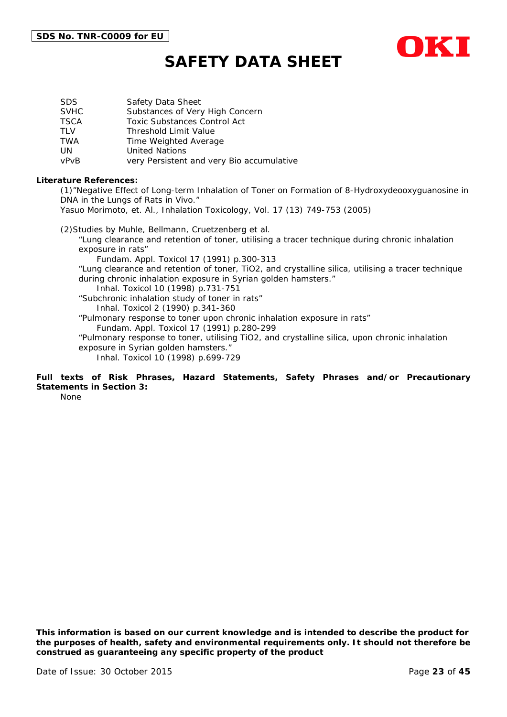

| SDS.        | Safety Data Sheet                         |
|-------------|-------------------------------------------|
| <b>SVHC</b> | Substances of Very High Concern           |
| TSCA        | <b>Toxic Substances Control Act</b>       |
| TLV         | <b>Threshold Limit Value</b>              |
| TWA         | Time Weighted Average                     |
| UN          | <b>United Nations</b>                     |
| vPvB        | very Persistent and very Bio accumulative |

#### **Literature References:**

(1)"Negative Effect of Long-term Inhalation of Toner on Formation of 8-Hydroxydeooxyguanosine in DNA in the Lungs of Rats in Vivo."

Yasuo Morimoto, et. Al., Inhalation Toxicology, Vol. 17 (13) 749-753 (2005)

(2)Studies by Muhle, Bellmann, Cruetzenberg et al. "Lung clearance and retention of toner, utilising a tracer technique during chronic inhalation exposure in rats" Fundam. Appl. Toxicol 17 (1991) p.300-313 "Lung clearance and retention of toner, TiO2, and crystalline silica, utilising a tracer technique during chronic inhalation exposure in Syrian golden hamsters." Inhal. Toxicol 10 (1998) p.731-751 "Subchronic inhalation study of toner in rats" Inhal. Toxicol 2 (1990) p.341-360 "Pulmonary response to toner upon chronic inhalation exposure in rats" Fundam. Appl. Toxicol 17 (1991) p.280-299 "Pulmonary response to toner, utilising TiO2, and crystalline silica, upon chronic inhalation exposure in Syrian golden hamsters." Inhal. Toxicol 10 (1998) p.699-729

#### **Full texts of Risk Phrases, Hazard Statements, Safety Phrases and/or Precautionary Statements in Section 3:**

None

*This information is based on our current knowledge and is intended to describe the product for the purposes of health, safety and environmental requirements only. It should not therefore be construed as guaranteeing any specific property of the product*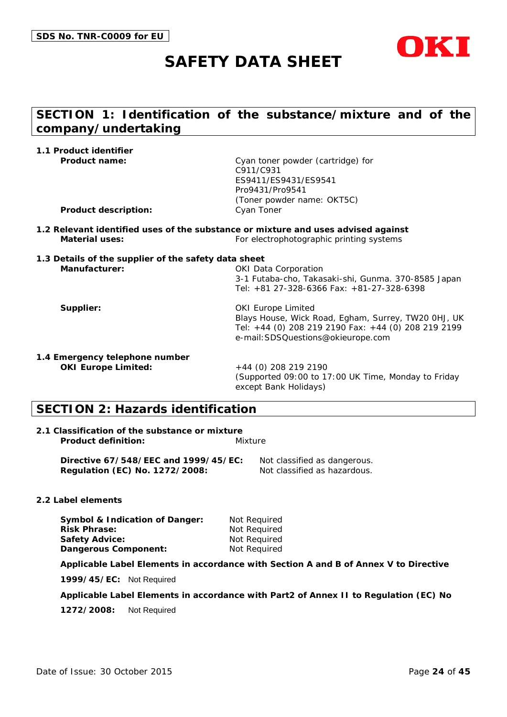

## **SECTION 1: Identification of the substance/mixture and of the company/undertaking**

| 1.1 Product identifier                               |                                                                                   |
|------------------------------------------------------|-----------------------------------------------------------------------------------|
| Product name:                                        | Cyan toner powder (cartridge) for                                                 |
|                                                      | C911/C931                                                                         |
|                                                      | ES9411/ES9431/ES9541                                                              |
|                                                      | Pro9431/Pro9541                                                                   |
|                                                      | (Toner powder name: OKT5C)                                                        |
| <b>Product description:</b>                          | Cyan Toner                                                                        |
|                                                      | 1.2 Relevant identified uses of the substance or mixture and uses advised against |
| <b>Material uses:</b>                                | For electrophotographic printing systems                                          |
| 1.3 Details of the supplier of the safety data sheet |                                                                                   |
| Manufacturer:                                        | <b>OKI Data Corporation</b>                                                       |
|                                                      | 3-1 Futaba-cho, Takasaki-shi, Gunma. 370-8585 Japan                               |
|                                                      | Tel: +81 27-328-6366 Fax: +81-27-328-6398                                         |
| Supplier:                                            | <b>OKI Europe Limited</b>                                                         |
|                                                      | Blays House, Wick Road, Egham, Surrey, TW20 OHJ, UK                               |
|                                                      | Tel: +44 (0) 208 219 2190 Fax: +44 (0) 208 219 2199                               |
|                                                      | e-mail: SDSQuestions@okieurope.com                                                |
| 1.4 Emergency telephone number                       |                                                                                   |
| <b>OKI Europe Limited:</b>                           | +44 (0) 208 219 2190                                                              |
|                                                      | (Supported 09:00 to 17:00 UK Time, Monday to Friday                               |
|                                                      | except Bank Holidays)                                                             |

## **SECTION 2: Hazards identification**

#### **2.1 Classification of the substance or mixture Product definition:** Mixture

**Directive 67/548/EEC and 1999/45/EC:** Not classified as dangerous. **Regulation (EC) No. 1272/2008:** Not classified as hazardous.

#### **2.2 Label elements**

**Symbol & Indication of Danger:** Not Required **Risk Phrase:** Not Required **Safety Advice:** Not Required **Dangerous Component:** Not Required

**Applicable Label Elements in accordance with Section A and B of Annex V to Directive** 

**1999/45/EC:** Not Required

**Applicable Label Elements in accordance with Part2 of Annex II to Regulation (EC) No** 

**1272/2008:** Not Required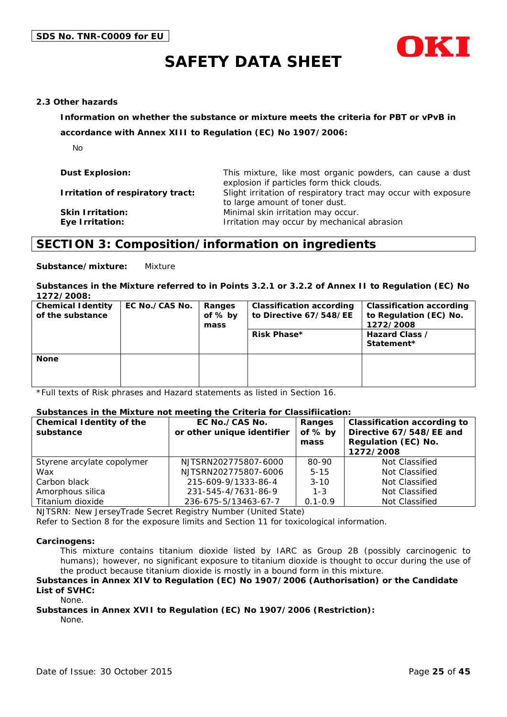

#### **2.3 Other hazards**

**Information on whether the substance or mixture meets the criteria for PBT or vPvB in** 

**accordance with Annex XIII to Regulation (EC) No 1907/2006:**

No

| <b>Dust Explosion:</b>                     | This mixture, like most organic powders, can cause a dust<br>explosion if particles form thick clouds. |
|--------------------------------------------|--------------------------------------------------------------------------------------------------------|
| Irritation of respiratory tract:           | Slight irritation of respiratory tract may occur with exposure<br>to large amount of toner dust.       |
| <b>Skin Irritation:</b><br>Eye Irritation: | Minimal skin irritation may occur.<br>Irritation may occur by mechanical abrasion                      |

### **SECTION 3: Composition/information on ingredients**

**Substance/mixture:** Mixture

#### **Substances in the Mixture referred to in Points 3.2.1 or 3.2.2 of Annex II to Regulation (EC) No 1272/2008:**

| <b>Chemical Identity</b><br>of the substance | EC No./CAS No. | Ranges<br>of % by<br>mass | <b>Classification according</b><br>to Directive 67/548/EE<br><b>Risk Phase*</b> | <b>Classification according</b><br>to Regulation (EC) No.<br>1272/2008<br>Hazard Class /<br>Statement* |
|----------------------------------------------|----------------|---------------------------|---------------------------------------------------------------------------------|--------------------------------------------------------------------------------------------------------|
| <b>None</b>                                  |                |                           |                                                                                 |                                                                                                        |

\*Full texts of Risk phrases and Hazard statements as listed in Section 16.

#### **Substances in the Mixture not meeting the Criteria for Classifiication:**

| <b>Chemical Identity of the</b><br>substance | EC No./CAS No.<br>or other unique identifier | Ranges<br>of % by<br>mass | <b>Classification according to</b><br>Directive 67/548/EE and<br>Regulation (EC) No.<br>1272/2008 |
|----------------------------------------------|----------------------------------------------|---------------------------|---------------------------------------------------------------------------------------------------|
| Styrene arcylate copolymer                   | NJTSRN202775807-6000                         | 80-90                     | Not Classified                                                                                    |
| Wax                                          | NJTSRN202775807-6006                         | $5 - 15$                  | Not Classified                                                                                    |
| Carbon black                                 | 215-609-9/1333-86-4                          | $3 - 10$                  | Not Classified                                                                                    |
| Amorphous silica                             | 231-545-4/7631-86-9                          | $1 - 3$                   | Not Classified                                                                                    |
| Titanium dioxide                             | 236-675-5/13463-67-7                         | $0.1 - 0.9$               | Not Classified                                                                                    |

NJTSRN: New JerseyTrade Secret Registry Number (United State)

Refer to Section 8 for the exposure limits and Section 11 for toxicological information.

#### **Carcinogens:**

This mixture contains titanium dioxide listed by IARC as Group 2B (possibly carcinogenic to humans); however, no significant exposure to titanium dioxide is thought to occur during the use of the product because titanium dioxide is mostly in a bound form in this mixture.

#### **Substances in Annex XIV to Regulation (EC) No 1907/2006 (Authorisation) or the Candidate List of SVHC:**

None.

### **Substances in Annex XVII to Regulation (EC) No 1907/2006 (Restriction):**

None.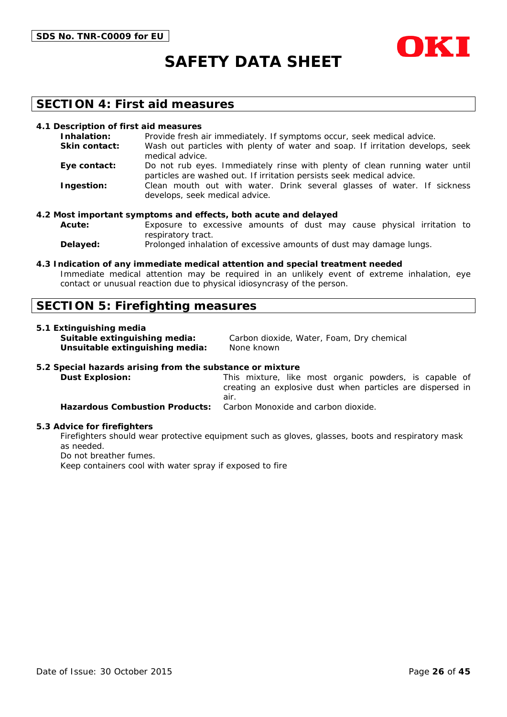



### **SECTION 4: First aid measures**

#### **4.1 Description of first aid measures**

| Inhalation:          | Provide fresh air immediately. If symptoms occur, seek medical advice.                                                                               |
|----------------------|------------------------------------------------------------------------------------------------------------------------------------------------------|
| <b>Skin contact:</b> | Wash out particles with plenty of water and soap. If irritation develops, seek<br>medical advice.                                                    |
| Eye contact:         | Do not rub eyes. Immediately rinse with plenty of clean running water until<br>particles are washed out. If irritation persists seek medical advice. |
| Ingestion:           | Clean mouth out with water. Drink several glasses of water. If sickness<br>develops, seek medical advice.                                            |

#### **4.2 Most important symptoms and effects, both acute and delayed**

**Acute:** Exposure to excessive amounts of dust may cause physical irritation to respiratory tract.

**Delayed:** Prolonged inhalation of excessive amounts of dust may damage lungs.

#### **4.3 Indication of any immediate medical attention and special treatment needed**

Immediate medical attention may be required in an unlikely event of extreme inhalation, eye contact or unusual reaction due to physical idiosyncrasy of the person.

### **SECTION 5: Firefighting measures**

#### **5.1 Extinguishing media**

**Unsuitable extinguishing media:** None known

**Suitable extinguishing media:** Carbon dioxide, Water, Foam, Dry chemical

#### **5.2 Special hazards arising from the substance or mixture**

**Dust Explosion:** This mixture, like most organic powders, is capable of creating an explosive dust when particles are dispersed in air. **Hazardous Combustion Products:** Carbon Monoxide and carbon dioxide.

#### **5.3 Advice for firefighters**

Firefighters should wear protective equipment such as gloves, glasses, boots and respiratory mask as needed.

Do not breather fumes.

Keep containers cool with water spray if exposed to fire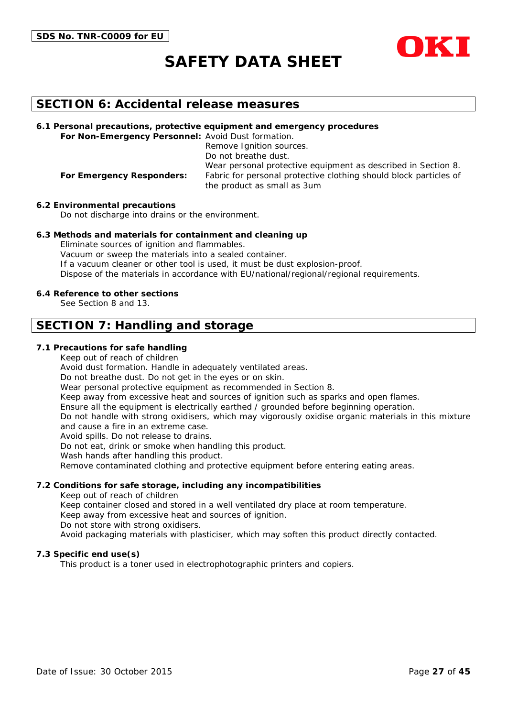

### **SECTION 6: Accidental release measures**

**6.1 Personal precautions, protective equipment and emergency procedures For Non-Emergency Personnel:** Avoid Dust formation.

Remove Ignition sources. Do not breathe dust. Wear personal protective equipment as described in Section 8. **For Emergency Responders:** Fabric for personal protective clothing should block particles of the product as small as 3um

**6.2 Environmental precautions**

Do not discharge into drains or the environment.

#### **6.3 Methods and materials for containment and cleaning up**

Eliminate sources of ignition and flammables. Vacuum or sweep the materials into a sealed container. If a vacuum cleaner or other tool is used, it must be dust explosion-proof. Dispose of the materials in accordance with EU/national/regional/regional requirements.

#### **6.4 Reference to other sections**

See Section 8 and 13.

### **SECTION 7: Handling and storage**

#### **7.1 Precautions for safe handling**

Keep out of reach of children

Avoid dust formation. Handle in adequately ventilated areas.

Do not breathe dust. Do not get in the eyes or on skin.

Wear personal protective equipment as recommended in Section 8.

Keep away from excessive heat and sources of ignition such as sparks and open flames.

Ensure all the equipment is electrically earthed / grounded before beginning operation.

Do not handle with strong oxidisers, which may vigorously oxidise organic materials in this mixture and cause a fire in an extreme case.

Avoid spills. Do not release to drains.

Do not eat, drink or smoke when handling this product.

Wash hands after handling this product.

Remove contaminated clothing and protective equipment before entering eating areas.

#### **7.2 Conditions for safe storage, including any incompatibilities**

Keep out of reach of children

Keep container closed and stored in a well ventilated dry place at room temperature.

Keep away from excessive heat and sources of ignition.

Do not store with strong oxidisers.

Avoid packaging materials with plasticiser, which may soften this product directly contacted.

#### **7.3 Specific end use(s)**

This product is a toner used in electrophotographic printers and copiers.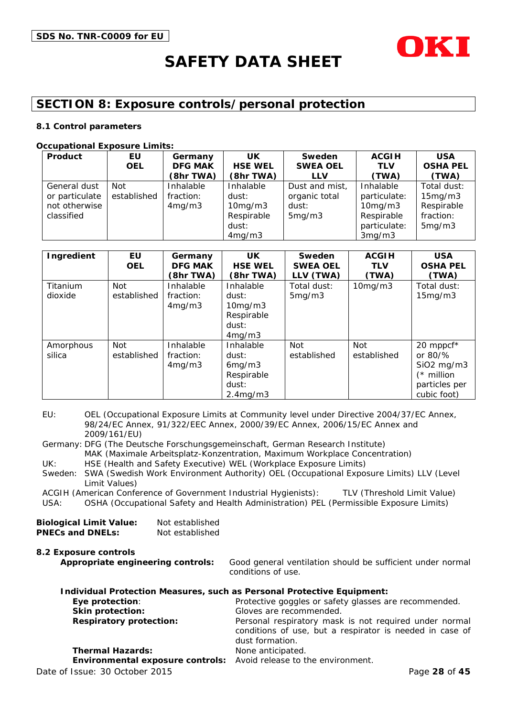

## **SECTION 8: Exposure controls/personal protection**

#### **8.1 Control parameters**

#### **Occupational Exposure Limits:**

| Product        | EU          | Germany        | UK             | Sweden          | <b>ACGIH</b>  | <b>USA</b>      |
|----------------|-------------|----------------|----------------|-----------------|---------------|-----------------|
|                | <b>OEL</b>  | <b>DFG MAK</b> | <b>HSE WEL</b> | <b>SWEA OEL</b> | <b>TLV</b>    | <b>OSHA PEL</b> |
|                |             | (8hr TWA)      | (8hr TWA)      | <b>LLV</b>      | (TWA)         | (TWA)           |
| General dust   | Not         | Inhalable      | Inhalable      | Dust and mist,  | Inhalable     | Total dust:     |
| or particulate | established | fraction:      | dust:          | organic total   | particulate:  | 15mg/m3         |
| not otherwise  |             | 4mg/m3         | 10mg/m3        | dust:           | $10$ mg/m $3$ | Respirable      |
| classified     |             |                | Respirable     | 5mg/m3          | Respirable    | fraction:       |
|                |             |                | dust:          |                 | particulate:  | 5mg/m3          |
|                |             |                | 4mg/m3         |                 | 3mg/m3        |                 |

| Ingredient          | EU<br><b>OEL</b>          | Germany<br><b>DFG MAK</b><br>(8hr TWA) | UK.<br><b>HSE WEL</b><br>(8hr TWA)                                           | Sweden<br><b>SWEA OEL</b><br>LLV (TWA) | <b>ACGIH</b><br><b>TLV</b><br>(TWA) | <b>USA</b><br><b>OSHA PEL</b><br>(TWA)                                                             |
|---------------------|---------------------------|----------------------------------------|------------------------------------------------------------------------------|----------------------------------------|-------------------------------------|----------------------------------------------------------------------------------------------------|
| Titanium<br>dioxide | <b>Not</b><br>established | Inhalable<br>fraction:<br>4mg/m3       | Inhalable<br>dust:<br>10mg/m3<br>Respirable<br>dust:<br>4mg/m3               | Total dust:<br>5mg/m3                  | 10mg/m3                             | Total dust:<br>15mg/m3                                                                             |
| Amorphous<br>silica | <b>Not</b><br>established | Inhalable<br>fraction:<br>4mg/m3       | Inhalable<br>dust:<br>6mg/m3<br>Respirable<br>dust:<br>2.4 <sub>mq</sub> /m3 | Not<br>established                     | <b>Not</b><br>established           | 20 mppcf*<br>or $80\frac{9}{6}$<br>$SiO2$ mg/m $3$<br>$(*$ million<br>particles per<br>cubic foot) |

EU: OEL (Occupational Exposure Limits at Community level under Directive 2004/37/EC Annex, 98/24/EC Annex, 91/322/EEC Annex, 2000/39/EC Annex, 2006/15/EC Annex and 2009/161/EU)

Germany: DFG (The Deutsche Forschungsgemeinschaft, German Research Institute) MAK (Maximale Arbeitsplatz-Konzentration, Maximum Workplace Concentration) UK: HSE (Health and Safety Executive) WEL (Workplace Exposure Limits)

Sweden: SWA (Swedish Work Environment Authority) OEL (Occupational Exposure Limits) LLV (Level Limit Values)

ACGIH (American Conference of Government Industrial Hygienists): TLV (Threshold Limit Value)

USA: OSHA (Occupational Safety and Health Administration) PEL (Permissible Exposure Limits)

| <b>Biological Limit Value:</b> | Not established |
|--------------------------------|-----------------|
| <b>PNECs and DNELs:</b>        | Not established |

**8.2 Exposure controls Appropriate engineering controls:** Good general ventilation should be sufficient under normal conditions of use.

| <b>Individual Protection Measures, such as Personal Protective Equipment:</b> |                                                                                                                                       |
|-------------------------------------------------------------------------------|---------------------------------------------------------------------------------------------------------------------------------------|
| Eye protection:                                                               | Protective goggles or safety glasses are recommended.                                                                                 |
| Skin protection:                                                              | Gloves are recommended.                                                                                                               |
| <b>Respiratory protection:</b>                                                | Personal respiratory mask is not required under normal<br>conditions of use, but a respirator is needed in case of<br>dust formation. |
| <b>Thermal Hazards:</b>                                                       | None anticipated.                                                                                                                     |
| Environmental exposure controls: Avoid release to the environment.            |                                                                                                                                       |
| Date of Issue: 30 October 2015                                                | Page 28 of 45                                                                                                                         |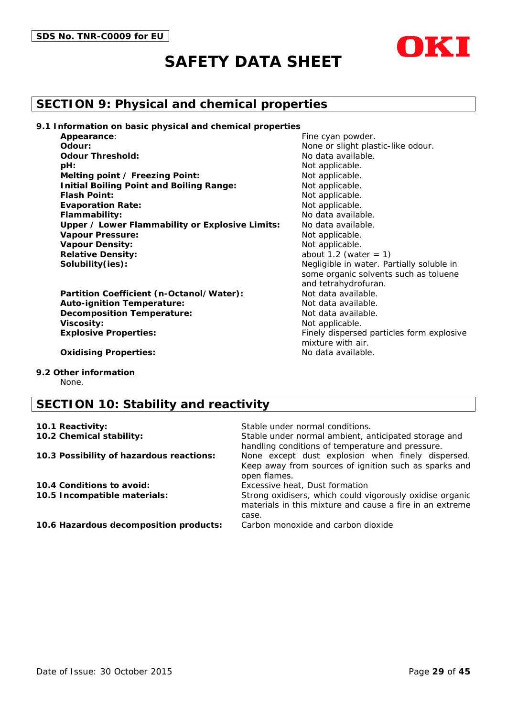

## **SECTION 9: Physical and chemical properties**

**9.1 Information on basic physical and chemical properties**

| Appearance:                                     |
|-------------------------------------------------|
| Odour:                                          |
| <b>Odour Threshold:</b>                         |
| pH:                                             |
| Melting point / Freezing Point:                 |
| <b>Initial Boiling Point and Boiling Range:</b> |
| <b>Flash Point:</b>                             |
| <b>Evaporation Rate:</b>                        |
| Flammability:                                   |
| Upper / Lower Flammability or Explosive Limits: |
| <b>Vapour Pressure:</b>                         |
| <b>Vapour Density:</b>                          |
| <b>Relative Density:</b>                        |
| Solubility(ies):                                |

Partition Coefficient (n-Octanol/Water): Not data available. **Auto-ignition Temperature:** Not data available. **Decomposition Temperature:** Not data available. **Viscosity:** Not applicable. **Explosive Properties:** Finely dispersed particles form explosive

Fine cyan powder. None or slight plastic-like odour. **Odour Threshold:** No data available. Not applicable. **Not applicable. Not applicable.** Not applicable. Not applicable. **Flammability:** No data available. No data available. **Not applicable. Not applicable. Relative Density:** about 1.2 (water = 1) Negligible in water. Partially soluble in some organic solvents such as toluene and tetrahydrofuran. mixture with air.

**Oxidising Properties:** No data available.

**9.2 Other information**

None.

## **SECTION 10: Stability and reactivity**

| 10.1 Reactivity:                         | Stable under normal conditions.                                                                                               |
|------------------------------------------|-------------------------------------------------------------------------------------------------------------------------------|
| 10.2 Chemical stability:                 | Stable under normal ambient, anticipated storage and<br>handling conditions of temperature and pressure.                      |
| 10.3 Possibility of hazardous reactions: | None except dust explosion when finely dispersed.<br>Keep away from sources of ignition such as sparks and<br>open flames.    |
| 10.4 Conditions to avoid:                | Excessive heat, Dust formation                                                                                                |
| 10.5 Incompatible materials:             | Strong oxidisers, which could vigorously oxidise organic<br>materials in this mixture and cause a fire in an extreme<br>case. |
| 10.6 Hazardous decomposition products:   | Carbon monoxide and carbon dioxide                                                                                            |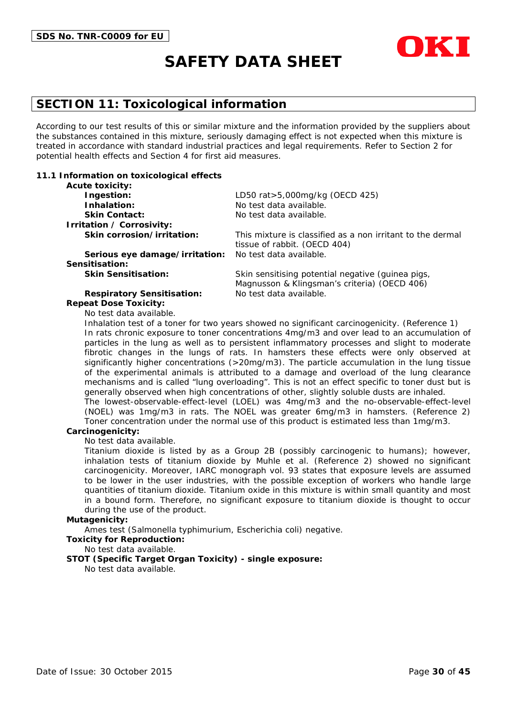



According to our test results of this or similar mixture and the information provided by the suppliers about the substances contained in this mixture, seriously damaging effect is not expected when this mixture is treated in accordance with standard industrial practices and legal requirements. Refer to Section 2 for potential health effects and Section 4 for first aid measures.

#### **11.1 Information on toxicological effects**

| <b>Acute toxicity:</b>            |                                                                                            |
|-----------------------------------|--------------------------------------------------------------------------------------------|
| Ingestion:                        | LD50 rat>5,000mg/kg (OECD 425)                                                             |
| Inhalation:                       | No test data available.                                                                    |
| <b>Skin Contact:</b>              | No test data available.                                                                    |
| Irritation / Corrosivity:         |                                                                                            |
| Skin corrosion/irritation:        | This mixture is classified as a non irritant to the dermal<br>tissue of rabbit. (OECD 404) |
| Serious eye damage/irritation:    | No test data available.                                                                    |
| Sensitisation:                    |                                                                                            |
| <b>Skin Sensitisation:</b>        | Skin sensitising potential negative (guinea pigs,                                          |
|                                   | Magnusson & Klingsman's criteria) (OECD 406)                                               |
| <b>Respiratory Sensitisation:</b> | No test data available.                                                                    |

#### **Repeat Dose Toxicity:**

No test data available.

Inhalation test of a toner for two years showed no significant carcinogenicity. (Reference 1) In rats chronic exposure to toner concentrations 4mg/m3 and over lead to an accumulation of particles in the lung as well as to persistent inflammatory processes and slight to moderate fibrotic changes in the lungs of rats. In hamsters these effects were only observed at significantly higher concentrations (>20mg/m3). The particle accumulation in the lung tissue of the experimental animals is attributed to a damage and overload of the lung clearance mechanisms and is called "lung overloading". This is not an effect specific to toner dust but is generally observed when high concentrations of other, slightly soluble dusts are inhaled. The lowest-observable-effect-level (LOEL) was 4mg/m3 and the no-observable-effect-level (NOEL) was 1mg/m3 in rats. The NOEL was greater 6mg/m3 in hamsters. (Reference 2)

Toner concentration under the normal use of this product is estimated less than 1mg/m3.

#### **Carcinogenicity:**

No test data available.

Titanium dioxide is listed by as a Group 2B (possibly carcinogenic to humans); however, inhalation tests of titanium dioxide by Muhle et al. (Reference 2) showed no significant carcinogenicity. Moreover, IARC monograph vol. 93 states that exposure levels are assumed to be lower in the user industries, with the possible exception of workers who handle large quantities of titanium dioxide. Titanium oxide in this mixture is within small quantity and most in a bound form. Therefore, no significant exposure to titanium dioxide is thought to occur during the use of the product.

#### **Mutagenicity:**

Ames test (Salmonella typhimurium, Escherichia coli) negative.

#### **Toxicity for Reproduction:**

#### No test data available.

#### **STOT (Specific Target Organ Toxicity) - single exposure:**

No test data available.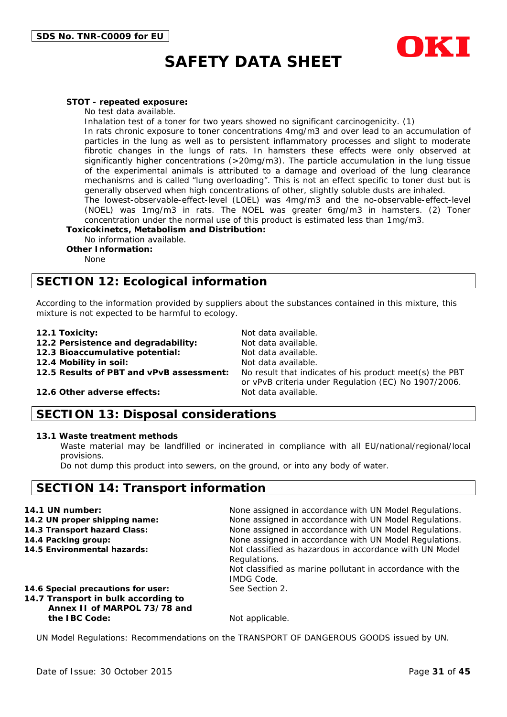

#### **STOT - repeated exposure:**

No test data available.

Inhalation test of a toner for two years showed no significant carcinogenicity. (1)

In rats chronic exposure to toner concentrations 4mg/m3 and over lead to an accumulation of particles in the lung as well as to persistent inflammatory processes and slight to moderate fibrotic changes in the lungs of rats. In hamsters these effects were only observed at significantly higher concentrations (>20mg/m3). The particle accumulation in the lung tissue of the experimental animals is attributed to a damage and overload of the lung clearance mechanisms and is called "lung overloading". This is not an effect specific to toner dust but is generally observed when high concentrations of other, slightly soluble dusts are inhaled.

The lowest-observable-effect-level (LOEL) was 4mg/m3 and the no-observable-effect-level (NOEL) was 1mg/m3 in rats. The NOEL was greater 6mg/m3 in hamsters. (2) Toner concentration under the normal use of this product is estimated less than 1mg/m3.

**Toxicokinetcs, Metabolism and Distribution:**

No information available.

**Other Information:**

None

## **SECTION 12: Ecological information**

According to the information provided by suppliers about the substances contained in this mixture, this mixture is not expected to be harmful to ecology.

- 
- **12.1 Toxicity:** Not data available.<br>**12.2 Persistence and degradability:** Not data available **12.2 Persistence and degradability:**
- **12.3 Bioaccumulative potential:** Not data available.

**12.4 Mobility in soil:** Not data available.

**12.5 Results of PBT and vPvB assessment:** No result that indicates of his product meet(s) the PBT or vPvB criteria under Regulation (EC) No 1907/2006.

#### **12.6 Other adverse effects:** Not data available.

### **SECTION 13: Disposal considerations**

#### **13.1 Waste treatment methods**

Waste material may be landfilled or incinerated in compliance with all EU/national/regional/local provisions.

Do not dump this product into sewers, on the ground, or into any body of water.

### **SECTION 14: Transport information**

| 14.1 UN number:                                                                                           | None assigned in accordance with UN Model Regulations.                                                                                                    |
|-----------------------------------------------------------------------------------------------------------|-----------------------------------------------------------------------------------------------------------------------------------------------------------|
| 14.2 UN proper shipping name:                                                                             | None assigned in accordance with UN Model Regulations.                                                                                                    |
| 14.3 Transport hazard Class:                                                                              | None assigned in accordance with UN Model Regulations.                                                                                                    |
| 14.4 Packing group:                                                                                       | None assigned in accordance with UN Model Regulations.                                                                                                    |
| 14.5 Environmental hazards:                                                                               | Not classified as hazardous in accordance with UN Model<br>Regulations.<br>Not classified as marine pollutant in accordance with the<br><b>IMDG Code.</b> |
| 14.6 Special precautions for user:<br>14.7 Transport in bulk according to<br>Annex II of MARPOL 73/78 and | See Section 2.                                                                                                                                            |
| the IBC Code:                                                                                             | Not applicable.                                                                                                                                           |

UN Model Regulations: Recommendations on the TRANSPORT OF DANGEROUS GOODS issued by UN.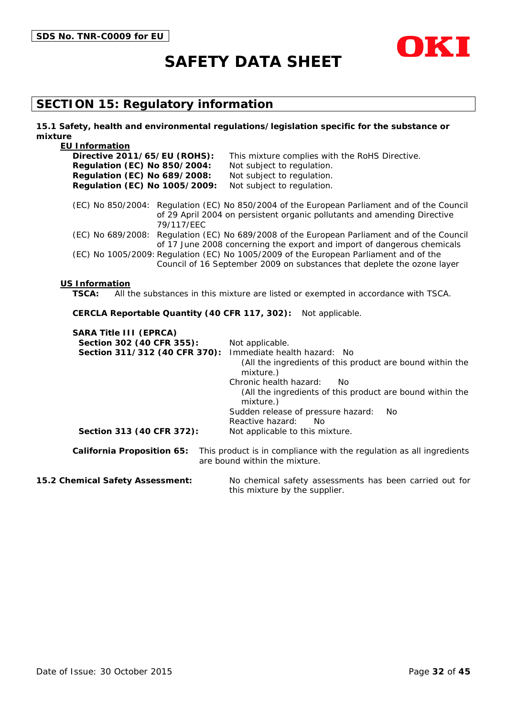



## **SECTION 15: Regulatory information**

#### **15.1 Safety, health and environmental regulations/legislation specific for the substance or mixture**

| <b>EU Information</b>                         |                                                                                                                                                                         |
|-----------------------------------------------|-------------------------------------------------------------------------------------------------------------------------------------------------------------------------|
| Directive 2011/65/EU (ROHS):                  | This mixture complies with the RoHS Directive.                                                                                                                          |
| <b>Regulation (EC) No 850/2004:</b>           | Not subject to regulation.                                                                                                                                              |
| <b>Regulation (EC) No 689/2008:</b>           | Not subject to regulation.                                                                                                                                              |
| Regulation (EC) No 1005/2009:                 | Not subject to regulation.                                                                                                                                              |
| 79/117/EEC                                    | (EC) No 850/2004: Regulation (EC) No 850/2004 of the European Parliament and of the Council<br>of 29 April 2004 on persistent organic pollutants and amending Directive |
|                                               | (EC) No 689/2008: Regulation (EC) No 689/2008 of the European Parliament and of the Council<br>of 17 June 2008 concerning the export and import of dangerous chemicals  |
|                                               | (EC) No 1005/2009: Regulation (EC) No 1005/2009 of the European Parliament and of the<br>Council of 16 September 2009 on substances that deplete the ozone layer        |
| <b>US Information</b><br><b>TSCA:</b>         | All the substances in this mixture are listed or exempted in accordance with TSCA.                                                                                      |
| CERCLA Reportable Quantity (40 CFR 117, 302): | Not applicable.                                                                                                                                                         |
| <b>SARA Title III (EPRCA)</b>                 |                                                                                                                                                                         |
| Section 302 (40 CFR 355):                     | Not applicable.                                                                                                                                                         |
| Section 311/312 (40 CFR 370):                 | Immediate health hazard: No                                                                                                                                             |
|                                               | (All the ingredients of this product are bound within the<br>mixture.)                                                                                                  |
|                                               | Chronic health hazard:<br>Nο                                                                                                                                            |
|                                               | (All the ingredients of this product are bound within the<br>mixture.)                                                                                                  |
|                                               | Sudden release of pressure hazard:<br><b>No</b>                                                                                                                         |
|                                               |                                                                                                                                                                         |
|                                               | Reactive hazard:<br>No                                                                                                                                                  |
| Section 313 (40 CFR 372):                     | Not applicable to this mixture.                                                                                                                                         |

**15.2 Chemical Safety Assessment:** No chemical safety assessments has been carried out for this mixture by the supplier.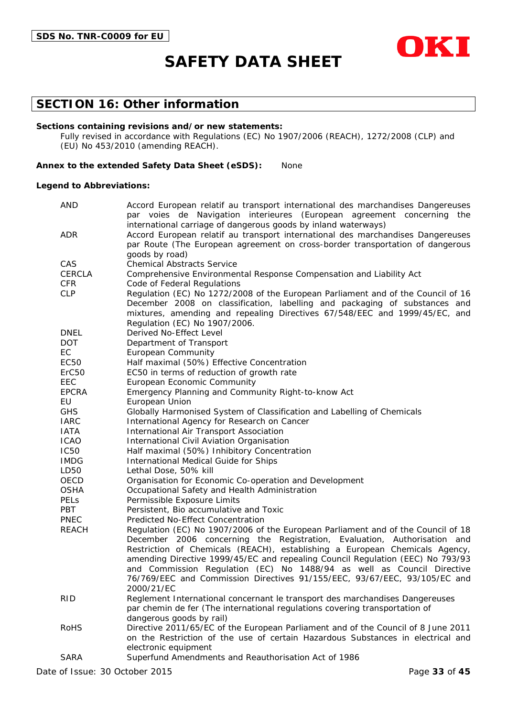

### **SECTION 16: Other information**

#### **Sections containing revisions and/or new statements:**

Fully revised in accordance with Regulations (EC) No 1907/2006 (REACH), 1272/2008 (CLP) and (EU) No 453/2010 (amending REACH).

#### **Annex to the extended Safety Data Sheet (eSDS):** None

#### **Legend to Abbreviations:**

| <b>AND</b>        | Accord European relatif au transport international des marchandises Dangereuses                                                                          |  |  |  |
|-------------------|----------------------------------------------------------------------------------------------------------------------------------------------------------|--|--|--|
|                   | par voies de Navigation interieures (European agreement concerning the                                                                                   |  |  |  |
| <b>ADR</b>        | international carriage of dangerous goods by inland waterways)<br>Accord European relatif au transport international des marchandises Dangereuses        |  |  |  |
|                   | par Route (The European agreement on cross-border transportation of dangerous                                                                            |  |  |  |
|                   | goods by road)                                                                                                                                           |  |  |  |
| CAS               | <b>Chemical Abstracts Service</b>                                                                                                                        |  |  |  |
| <b>CERCLA</b>     | Comprehensive Environmental Response Compensation and Liability Act                                                                                      |  |  |  |
| <b>CFR</b>        | Code of Federal Regulations                                                                                                                              |  |  |  |
| <b>CLP</b>        | Regulation (EC) No 1272/2008 of the European Parliament and of the Council of 16                                                                         |  |  |  |
|                   | December 2008 on classification, labelling and packaging of substances and                                                                               |  |  |  |
|                   | mixtures, amending and repealing Directives 67/548/EEC and 1999/45/EC, and                                                                               |  |  |  |
|                   | Regulation (EC) No 1907/2006.                                                                                                                            |  |  |  |
| <b>DNEL</b>       | Derived No-Effect Level                                                                                                                                  |  |  |  |
| DOT.              | Department of Transport                                                                                                                                  |  |  |  |
| EC                | <b>European Community</b>                                                                                                                                |  |  |  |
| EC50              | Half maximal (50%) Effective Concentration                                                                                                               |  |  |  |
| ErC <sub>50</sub> | EC50 in terms of reduction of growth rate                                                                                                                |  |  |  |
| EEC               | European Economic Community                                                                                                                              |  |  |  |
| <b>EPCRA</b>      | Emergency Planning and Community Right-to-know Act                                                                                                       |  |  |  |
| EU                | European Union                                                                                                                                           |  |  |  |
| <b>GHS</b>        | Globally Harmonised System of Classification and Labelling of Chemicals                                                                                  |  |  |  |
| <b>IARC</b>       | International Agency for Research on Cancer                                                                                                              |  |  |  |
| <b>IATA</b>       | International Air Transport Association                                                                                                                  |  |  |  |
| <b>ICAO</b>       | International Civil Aviation Organisation                                                                                                                |  |  |  |
| <b>IC50</b>       | Half maximal (50%) Inhibitory Concentration                                                                                                              |  |  |  |
| <b>IMDG</b>       | International Medical Guide for Ships                                                                                                                    |  |  |  |
| LD50              | Lethal Dose, 50% kill                                                                                                                                    |  |  |  |
| OECD              | Organisation for Economic Co-operation and Development                                                                                                   |  |  |  |
| <b>OSHA</b>       | Occupational Safety and Health Administration                                                                                                            |  |  |  |
| PELs              | Permissible Exposure Limits                                                                                                                              |  |  |  |
| PBT               | Persistent, Bio accumulative and Toxic                                                                                                                   |  |  |  |
| <b>PNEC</b>       | Predicted No-Effect Concentration                                                                                                                        |  |  |  |
| <b>REACH</b>      | Regulation (EC) No 1907/2006 of the European Parliament and of the Council of 18                                                                         |  |  |  |
|                   | December 2006 concerning the Registration, Evaluation, Authorisation and                                                                                 |  |  |  |
|                   | Restriction of Chemicals (REACH), establishing a European Chemicals Agency,                                                                              |  |  |  |
|                   | amending Directive 1999/45/EC and repealing Council Regulation (EEC) No 793/93<br>and Commission Regulation (EC) No 1488/94 as well as Council Directive |  |  |  |
|                   | 76/769/EEC and Commission Directives 91/155/EEC, 93/67/EEC, 93/105/EC and                                                                                |  |  |  |
|                   | 2000/21/EC                                                                                                                                               |  |  |  |
| <b>RID</b>        | Reglement International concernant le transport des marchandises Dangereuses                                                                             |  |  |  |
|                   | par chemin de fer (The international regulations covering transportation of                                                                              |  |  |  |
|                   | dangerous goods by rail)                                                                                                                                 |  |  |  |
| <b>RoHS</b>       | Directive 2011/65/EC of the European Parliament and of the Council of 8 June 2011                                                                        |  |  |  |
|                   | on the Restriction of the use of certain Hazardous Substances in electrical and                                                                          |  |  |  |
|                   | electronic equipment                                                                                                                                     |  |  |  |
| <b>SARA</b>       | Superfund Amendments and Reauthorisation Act of 1986                                                                                                     |  |  |  |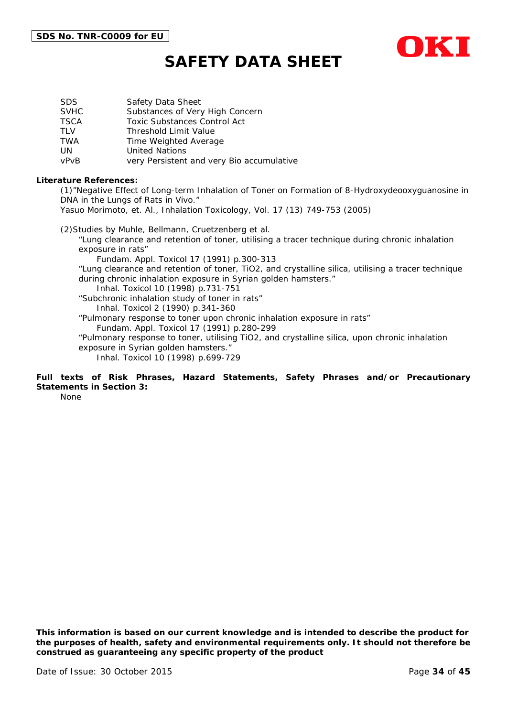

| SDS.        | Safety Data Sheet                         |
|-------------|-------------------------------------------|
| <b>SVHC</b> | Substances of Very High Concern           |
| TSCA        | <b>Toxic Substances Control Act</b>       |
| TLV         | <b>Threshold Limit Value</b>              |
| TWA         | Time Weighted Average                     |
| UN          | <b>United Nations</b>                     |
| vPvB        | very Persistent and very Bio accumulative |

#### **Literature References:**

(1)"Negative Effect of Long-term Inhalation of Toner on Formation of 8-Hydroxydeooxyguanosine in DNA in the Lungs of Rats in Vivo."

Yasuo Morimoto, et. Al., Inhalation Toxicology, Vol. 17 (13) 749-753 (2005)

(2)Studies by Muhle, Bellmann, Cruetzenberg et al. "Lung clearance and retention of toner, utilising a tracer technique during chronic inhalation exposure in rats" Fundam. Appl. Toxicol 17 (1991) p.300-313 "Lung clearance and retention of toner, TiO2, and crystalline silica, utilising a tracer technique during chronic inhalation exposure in Syrian golden hamsters." Inhal. Toxicol 10 (1998) p.731-751 "Subchronic inhalation study of toner in rats" Inhal. Toxicol 2 (1990) p.341-360 "Pulmonary response to toner upon chronic inhalation exposure in rats" Fundam. Appl. Toxicol 17 (1991) p.280-299 "Pulmonary response to toner, utilising TiO2, and crystalline silica, upon chronic inhalation exposure in Syrian golden hamsters." Inhal. Toxicol 10 (1998) p.699-729

#### **Full texts of Risk Phrases, Hazard Statements, Safety Phrases and/or Precautionary Statements in Section 3:**

None

*This information is based on our current knowledge and is intended to describe the product for the purposes of health, safety and environmental requirements only. It should not therefore be construed as guaranteeing any specific property of the product*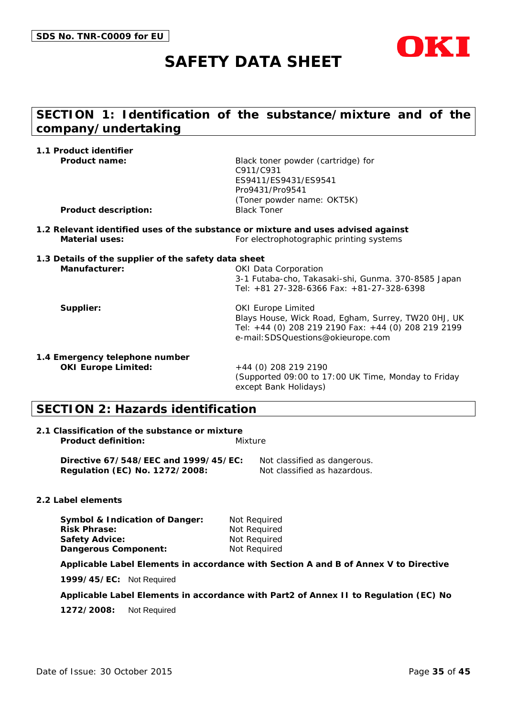

## **SECTION 1: Identification of the substance/mixture and of the company/undertaking**

| 1.1 Product identifier                               |                                                                                   |
|------------------------------------------------------|-----------------------------------------------------------------------------------|
| Product name:                                        | Black toner powder (cartridge) for                                                |
|                                                      | C911/C931                                                                         |
|                                                      | ES9411/ES9431/ES9541                                                              |
|                                                      | Pro9431/Pro9541                                                                   |
|                                                      | (Toner powder name: OKT5K)                                                        |
| <b>Product description:</b>                          | <b>Black Toner</b>                                                                |
|                                                      | 1.2 Relevant identified uses of the substance or mixture and uses advised against |
| <b>Material uses:</b>                                | For electrophotographic printing systems                                          |
| 1.3 Details of the supplier of the safety data sheet |                                                                                   |
| Manufacturer:                                        | <b>OKI Data Corporation</b>                                                       |
|                                                      | 3-1 Futaba-cho, Takasaki-shi, Gunma. 370-8585 Japan                               |
|                                                      | Tel: +81 27-328-6366 Fax: +81-27-328-6398                                         |
| Supplier:                                            | <b>OKI Europe Limited</b>                                                         |
|                                                      | Blays House, Wick Road, Egham, Surrey, TW20 OHJ, UK                               |
|                                                      | Tel: +44 (0) 208 219 2190 Fax: +44 (0) 208 219 2199                               |
|                                                      | e-mail: SDSQuestions@okieurope.com                                                |
| 1.4 Emergency telephone number                       |                                                                                   |
| <b>OKI Europe Limited:</b>                           | $+44$ (0) 208 219 2190                                                            |
|                                                      | (Supported 09:00 to 17:00 UK Time, Monday to Friday                               |
|                                                      | except Bank Holidays)                                                             |
|                                                      |                                                                                   |

## **SECTION 2: Hazards identification**

#### **2.1 Classification of the substance or mixture Product definition:** Mixture

**Directive 67/548/EEC and 1999/45/EC:** Not classified as dangerous. **Regulation (EC) No. 1272/2008:** Not classified as hazardous.

#### **2.2 Label elements**

**Symbol & Indication of Danger:** Not Required **Risk Phrase:** Not Required **Safety Advice:** Not Required **Dangerous Component:** Not Required

**Applicable Label Elements in accordance with Section A and B of Annex V to Directive** 

**1999/45/EC:** Not Required

**Applicable Label Elements in accordance with Part2 of Annex II to Regulation (EC) No** 

**1272/2008:** Not Required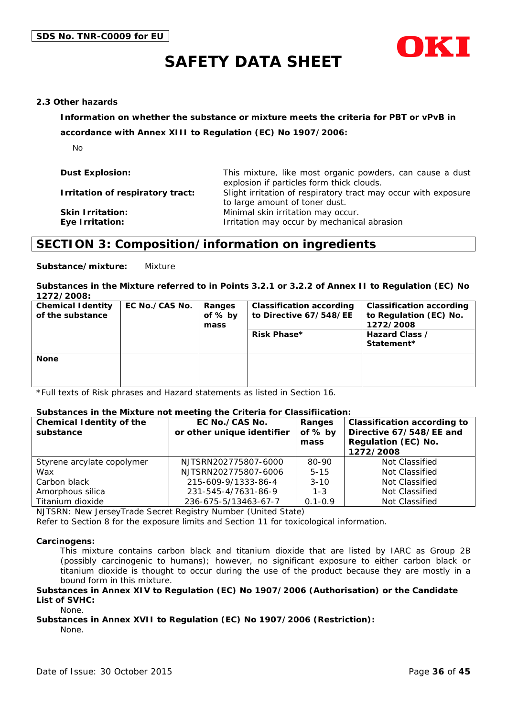

#### **2.3 Other hazards**

**Information on whether the substance or mixture meets the criteria for PBT or vPvB in** 

**accordance with Annex XIII to Regulation (EC) No 1907/2006:**

No

| <b>Dust Explosion:</b>                     | This mixture, like most organic powders, can cause a dust<br>explosion if particles form thick clouds. |
|--------------------------------------------|--------------------------------------------------------------------------------------------------------|
| Irritation of respiratory tract:           | Slight irritation of respiratory tract may occur with exposure<br>to large amount of toner dust.       |
| <b>Skin Irritation:</b><br>Eye Irritation: | Minimal skin irritation may occur.<br>Irritation may occur by mechanical abrasion                      |

### **SECTION 3: Composition/information on ingredients**

**Substance/mixture:** Mixture

#### **Substances in the Mixture referred to in Points 3.2.1 or 3.2.2 of Annex II to Regulation (EC) No 1272/2008:**

| <b>Chemical Identity</b><br>of the substance | EC No./CAS No. | Ranges<br>of % by<br>mass | <b>Classification according</b><br>to Directive 67/548/EE<br><b>Risk Phase*</b> | <b>Classification according</b><br>to Regulation (EC) No.<br>1272/2008<br>Hazard Class /<br>Statement* |
|----------------------------------------------|----------------|---------------------------|---------------------------------------------------------------------------------|--------------------------------------------------------------------------------------------------------|
| <b>None</b>                                  |                |                           |                                                                                 |                                                                                                        |

\*Full texts of Risk phrases and Hazard statements as listed in Section 16.

#### **Substances in the Mixture not meeting the Criteria for Classifiication:**

| <b>Chemical Identity of the</b><br>substance | EC No./CAS No.<br>or other unique identifier | Ranges<br>of % by<br>mass | <b>Classification according to</b><br>Directive 67/548/EE and<br>Regulation (EC) No.<br>1272/2008 |
|----------------------------------------------|----------------------------------------------|---------------------------|---------------------------------------------------------------------------------------------------|
| Styrene arcylate copolymer                   | NJTSRN202775807-6000                         | 80-90                     | Not Classified                                                                                    |
| Wax                                          | NJTSRN202775807-6006                         | $5 - 15$                  | Not Classified                                                                                    |
| Carbon black                                 | 215-609-9/1333-86-4                          | $3 - 10$                  | Not Classified                                                                                    |
| Amorphous silica                             | 231-545-4/7631-86-9                          | $1 - 3$                   | Not Classified                                                                                    |
| Titanium dioxide                             | 236-675-5/13463-67-7                         | $0.1 - 0.9$               | Not Classified                                                                                    |

NJTSRN: New JerseyTrade Secret Registry Number (United State)

Refer to Section 8 for the exposure limits and Section 11 for toxicological information.

#### **Carcinogens:**

This mixture contains carbon black and titanium dioxide that are listed by IARC as Group 2B (possibly carcinogenic to humans); however, no significant exposure to either carbon black or titanium dioxide is thought to occur during the use of the product because they are mostly in a bound form in this mixture.

#### **Substances in Annex XIV to Regulation (EC) No 1907/2006 (Authorisation) or the Candidate List of SVHC:**

None.

#### **Substances in Annex XVII to Regulation (EC) No 1907/2006 (Restriction):** None.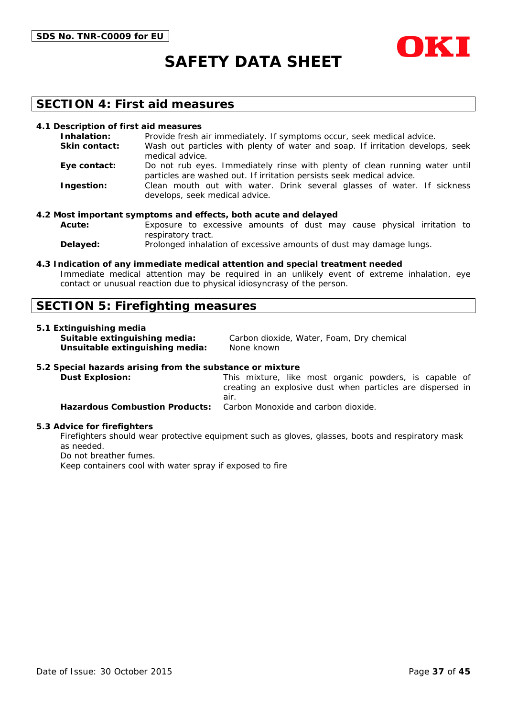



### **SECTION 4: First aid measures**

#### **4.1 Description of first aid measures**

| Inhalation:          | Provide fresh air immediately. If symptoms occur, seek medical advice.                                                                               |
|----------------------|------------------------------------------------------------------------------------------------------------------------------------------------------|
| <b>Skin contact:</b> | Wash out particles with plenty of water and soap. If irritation develops, seek<br>medical advice.                                                    |
| Eye contact:         | Do not rub eyes. Immediately rinse with plenty of clean running water until<br>particles are washed out. If irritation persists seek medical advice. |
| Ingestion:           | Clean mouth out with water. Drink several glasses of water. If sickness<br>develops, seek medical advice.                                            |

#### **4.2 Most important symptoms and effects, both acute and delayed**

**Acute:** Exposure to excessive amounts of dust may cause physical irritation to respiratory tract.

**Delayed:** Prolonged inhalation of excessive amounts of dust may damage lungs.

#### **4.3 Indication of any immediate medical attention and special treatment needed**

Immediate medical attention may be required in an unlikely event of extreme inhalation, eye contact or unusual reaction due to physical idiosyncrasy of the person.

### **SECTION 5: Firefighting measures**

#### **5.1 Extinguishing media**

**Unsuitable extinguishing media:** None known

**Suitable extinguishing media:** Carbon dioxide, Water, Foam, Dry chemical

#### **5.2 Special hazards arising from the substance or mixture**

**Dust Explosion:** This mixture, like most organic powders, is capable of creating an explosive dust when particles are dispersed in air. **Hazardous Combustion Products:** Carbon Monoxide and carbon dioxide.

#### **5.3 Advice for firefighters**

Firefighters should wear protective equipment such as gloves, glasses, boots and respiratory mask as needed.

Do not breather fumes.

Keep containers cool with water spray if exposed to fire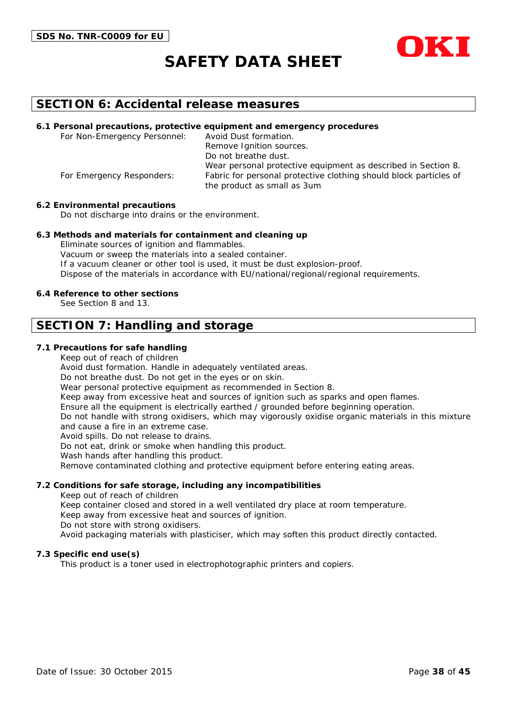



### **SECTION 6: Accidental release measures**

#### **6.1 Personal precautions, protective equipment and emergency procedures**

For Non-Emergency Personnel: Avoid Dust formation. Remove Ignition sources. Do not breathe dust. Wear personal protective equipment as described in Section 8. For Emergency Responders: Fabric for personal protective clothing should block particles of the product as small as 3um

#### **6.2 Environmental precautions**

Do not discharge into drains or the environment.

#### **6.3 Methods and materials for containment and cleaning up**

Eliminate sources of ignition and flammables. Vacuum or sweep the materials into a sealed container. If a vacuum cleaner or other tool is used, it must be dust explosion-proof. Dispose of the materials in accordance with EU/national/regional/regional requirements.

#### **6.4 Reference to other sections**

See Section 8 and 13.

### **SECTION 7: Handling and storage**

#### **7.1 Precautions for safe handling**

Keep out of reach of children

Avoid dust formation. Handle in adequately ventilated areas.

Do not breathe dust. Do not get in the eyes or on skin.

Wear personal protective equipment as recommended in Section 8.

Keep away from excessive heat and sources of ignition such as sparks and open flames.

Ensure all the equipment is electrically earthed / grounded before beginning operation.

Do not handle with strong oxidisers, which may vigorously oxidise organic materials in this mixture and cause a fire in an extreme case.

Avoid spills. Do not release to drains.

Do not eat, drink or smoke when handling this product.

Wash hands after handling this product.

Remove contaminated clothing and protective equipment before entering eating areas.

#### **7.2 Conditions for safe storage, including any incompatibilities**

Keep out of reach of children

Keep container closed and stored in a well ventilated dry place at room temperature.

Keep away from excessive heat and sources of ignition.

Do not store with strong oxidisers.

Avoid packaging materials with plasticiser, which may soften this product directly contacted.

#### **7.3 Specific end use(s)**

This product is a toner used in electrophotographic printers and copiers.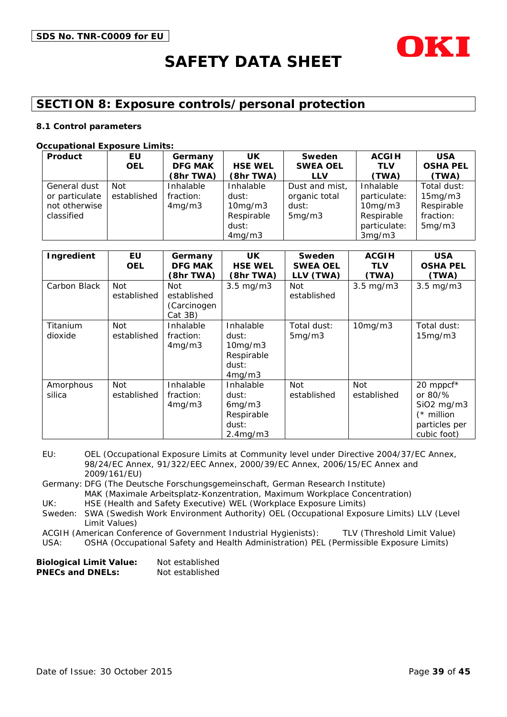

## **SECTION 8: Exposure controls/personal protection**

#### **8.1 Control parameters**

#### **Occupational Exposure Limits:**

| Product        | EU.         | Germany        | <b>UK</b>      | <b>Sweden</b>   | <b>ACGIH</b> | <b>USA</b>      |
|----------------|-------------|----------------|----------------|-----------------|--------------|-----------------|
|                | <b>OEL</b>  | <b>DFG MAK</b> | <b>HSE WEL</b> | <b>SWEA OEL</b> | <b>TLV</b>   | <b>OSHA PEL</b> |
|                |             | (8hr TWA)      | (8hr TWA)      | <b>LLV</b>      | (TWA)        | (TWA)           |
| General dust   | Not         | Inhalable      | Inhalable      | Dust and mist,  | Inhalable    | Total dust:     |
| or particulate | established | fraction:      | dust:          | organic total   | particulate: | 15mg/m3         |
| not otherwise  |             | 4mg/m3         | 10mg/m3        | dust:           | 10mg/m3      | Respirable      |
| classified     |             |                | Respirable     | 5mg/m3          | Respirable   | fraction:       |
|                |             |                | dust:          |                 | particulate: | 5mg/m3          |
|                |             |                | 4mg/m3         |                 | 3mg/m3       |                 |

| Ingredient          | EU<br><b>OEL</b>          | Germany<br><b>DFG MAK</b><br>(8hr TWA)       | <b>UK</b><br><b>HSE WEL</b><br>(8hr TWA)                             | Sweden<br><b>SWEA OEL</b><br>(TWA)<br><b>LLV</b> | <b>ACGIH</b><br>TLV<br>(TWA) | <b>USA</b><br><b>OSHA PEL</b><br>(TWA)                                                                                |
|---------------------|---------------------------|----------------------------------------------|----------------------------------------------------------------------|--------------------------------------------------|------------------------------|-----------------------------------------------------------------------------------------------------------------------|
| Carbon Black        | Not<br>established        | Not<br>established<br>(Carcinogen<br>Cat 3B) | $3.5 \text{ mg/m}$                                                   | Not<br>established                               | $3.5 \text{ mg/m}$           | $3.5 \text{ mg/m}$                                                                                                    |
| Titanium<br>dioxide | <b>Not</b><br>established | Inhalable<br>fraction:<br>4mg/m3             | Inhalable<br>dust:<br>$10$ mg/m $3$<br>Respirable<br>dust:<br>4mg/m3 | Total dust:<br>5mg/m3                            | 10mg/m3                      | Total dust:<br>15mg/m3                                                                                                |
| Amorphous<br>silica | Not<br>established        | Inhalable<br>fraction:<br>4mg/m3             | Inhalable<br>dust:<br>6mg/m3<br>Respirable<br>dust:<br>2.4mg/m3      | <b>Not</b><br>established                        | Not<br>established           | 20 mppcf*<br>or $80\frac{9}{6}$<br>SiO <sub>2</sub> mg/m <sub>3</sub><br>$(*$ million<br>particles per<br>cubic foot) |

EU: OEL (Occupational Exposure Limits at Community level under Directive 2004/37/EC Annex, 98/24/EC Annex, 91/322/EEC Annex, 2000/39/EC Annex, 2006/15/EC Annex and 2009/161/EU)

Germany: DFG (The Deutsche Forschungsgemeinschaft, German Research Institute) MAK (Maximale Arbeitsplatz-Konzentration, Maximum Workplace Concentration)

UK: HSE (Health and Safety Executive) WEL (Workplace Exposure Limits)

Sweden: SWA (Swedish Work Environment Authority) OEL (Occupational Exposure Limits) LLV (Level Limit Values)

ACGIH (American Conference of Government Industrial Hygienists): TLV (Threshold Limit Value)

USA: OSHA (Occupational Safety and Health Administration) PEL (Permissible Exposure Limits)

| <b>Biological Limit Value:</b> | Not established |
|--------------------------------|-----------------|
| <b>PNECs and DNELs:</b>        | Not established |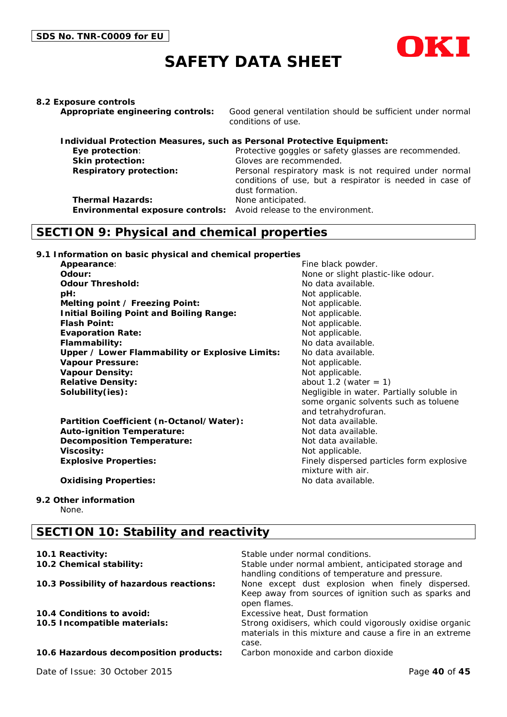

#### **8.2 Exposure controls**

**Appropriate engineering controls:** Good general ventilation should be sufficient under normal conditions of use.

| Individual Protection Measures, such as Personal Protective Equipment: |                                                          |
|------------------------------------------------------------------------|----------------------------------------------------------|
| Eye protection:                                                        | Protective goggles or safety glasses are recommended.    |
| Skin protection:                                                       | Gloves are recommended.                                  |
| <b>Respiratory protection:</b>                                         | Personal respiratory mask is not required under normal   |
|                                                                        | conditions of use, but a respirator is needed in case of |
|                                                                        | dust formation.                                          |
| <b>Thermal Hazards:</b>                                                | None anticipated.                                        |
| Environmental exposure controls: Avoid release to the environment.     |                                                          |

### **SECTION 9: Physical and chemical properties**

**9.1 Information on basic physical and chemical properties**

**Appearance:** Fine black powder. **Odour:** None or slight plastic-like odour. **Odour Threshold:** No data available. **pH:**  $\blacksquare$ **Melting point / Freezing Point:** Not applicable. **Initial Boiling Point and Boiling Range:** Not applicable. **Flash Point:** Not applicable. **Evaporation Rate:** Not applicable. **Flammability:** No data available. **Upper / Lower Flammability or Explosive Limits:** No data available. Vapour Pressure:  $\blacksquare$  Not applicable. **Vapour Density:** Not applicable. **Relative Density:** about 1.2 (water = 1) **Solubility(ies):**  $\qquad \qquad \qquad$  Negligible in water. Partially soluble in

Partition Coefficient (n-Octanol/Water): Not data available. **Auto-ignition Temperature:** Not data available. **Decomposition Temperature:** Not data available. **Viscosity:** Not applicable. **Explosive Properties:** Finely dispersed particles form explosive

some organic solvents such as toluene and tetrahydrofuran. mixture with air.

#### **Oxidising Properties:** No data available.

## **9.2 Other information**

None.

## **SECTION 10: Stability and reactivity**

| 10.1 Reactivity:                         | Stable under normal conditions.                                                                                               |
|------------------------------------------|-------------------------------------------------------------------------------------------------------------------------------|
| 10.2 Chemical stability:                 | Stable under normal ambient, anticipated storage and<br>handling conditions of temperature and pressure.                      |
| 10.3 Possibility of hazardous reactions: | None except dust explosion when finely dispersed.<br>Keep away from sources of ignition such as sparks and<br>open flames.    |
| 10.4 Conditions to avoid:                | Excessive heat, Dust formation                                                                                                |
| 10.5 Incompatible materials:             | Strong oxidisers, which could vigorously oxidise organic<br>materials in this mixture and cause a fire in an extreme<br>case. |
| 10.6 Hazardous decomposition products:   | Carbon monoxide and carbon dioxide                                                                                            |
|                                          |                                                                                                                               |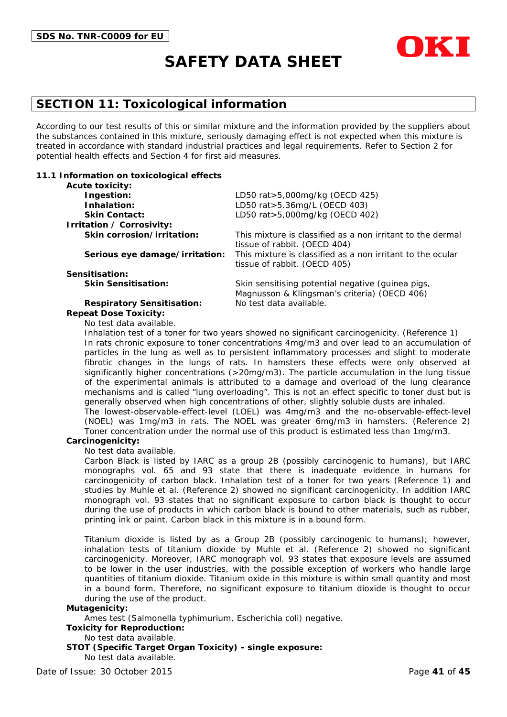

## **SECTION 11: Toxicological information**

According to our test results of this or similar mixture and the information provided by the suppliers about the substances contained in this mixture, seriously damaging effect is not expected when this mixture is treated in accordance with standard industrial practices and legal requirements. Refer to Section 2 for potential health effects and Section 4 for first aid measures.

#### **11.1 Information on toxicological effects**

| <b>Acute toxicity:</b>            |                                                                                                   |
|-----------------------------------|---------------------------------------------------------------------------------------------------|
| Ingestion:                        | LD50 rat > 5,000 mg/kg (OECD 425)                                                                 |
| Inhalation:                       | LD50 rat>5.36mg/L (OECD 403)                                                                      |
| <b>Skin Contact:</b>              | LD50 rat>5,000mg/kg (OECD 402)                                                                    |
| Irritation / Corrosivity:         |                                                                                                   |
| Skin corrosion/irritation:        | This mixture is classified as a non irritant to the dermal<br>tissue of rabbit. (OECD 404)        |
| Serious eye damage/irritation:    | This mixture is classified as a non irritant to the ocular<br>tissue of rabbit. (OECD 405)        |
| Sensitisation:                    |                                                                                                   |
| <b>Skin Sensitisation:</b>        | Skin sensitising potential negative (quinea pigs,<br>Magnusson & Klingsman's criteria) (OECD 406) |
| <b>Respiratory Sensitisation:</b> | No test data available.                                                                           |
| <b>Repeat Dose Toxicity:</b>      |                                                                                                   |

No test data available.

Inhalation test of a toner for two years showed no significant carcinogenicity. (Reference 1) In rats chronic exposure to toner concentrations 4mg/m3 and over lead to an accumulation of particles in the lung as well as to persistent inflammatory processes and slight to moderate fibrotic changes in the lungs of rats. In hamsters these effects were only observed at significantly higher concentrations (>20mg/m3). The particle accumulation in the lung tissue of the experimental animals is attributed to a damage and overload of the lung clearance mechanisms and is called "lung overloading". This is not an effect specific to toner dust but is generally observed when high concentrations of other, slightly soluble dusts are inhaled. The lowest-observable-effect-level (LOEL) was 4mg/m3 and the no-observable-effect-level

(NOEL) was 1mg/m3 in rats. The NOEL was greater 6mg/m3 in hamsters. (Reference 2) Toner concentration under the normal use of this product is estimated less than 1mg/m3.

#### **Carcinogenicity:**

No test data available.

Carbon Black is listed by IARC as a group 2B (possibly carcinogenic to humans), but IARC monographs vol. 65 and 93 state that there is inadequate evidence in humans for carcinogenicity of carbon black. Inhalation test of a toner for two years (Reference 1) and studies by Muhle et al. (Reference 2) showed no significant carcinogenicity. In addition IARC monograph vol. 93 states that no significant exposure to carbon black is thought to occur during the use of products in which carbon black is bound to other materials, such as rubber, printing ink or paint. Carbon black in this mixture is in a bound form.

Titanium dioxide is listed by as a Group 2B (possibly carcinogenic to humans); however, inhalation tests of titanium dioxide by Muhle et al. (Reference 2) showed no significant carcinogenicity. Moreover, IARC monograph vol. 93 states that exposure levels are assumed to be lower in the user industries, with the possible exception of workers who handle large quantities of titanium dioxide. Titanium oxide in this mixture is within small quantity and most in a bound form. Therefore, no significant exposure to titanium dioxide is thought to occur during the use of the product.

#### **Mutagenicity:**

Ames test (Salmonella typhimurium, Escherichia coli) negative.

**Toxicity for Reproduction:**

#### No test data available.

**STOT (Specific Target Organ Toxicity) - single exposure:** No test data available.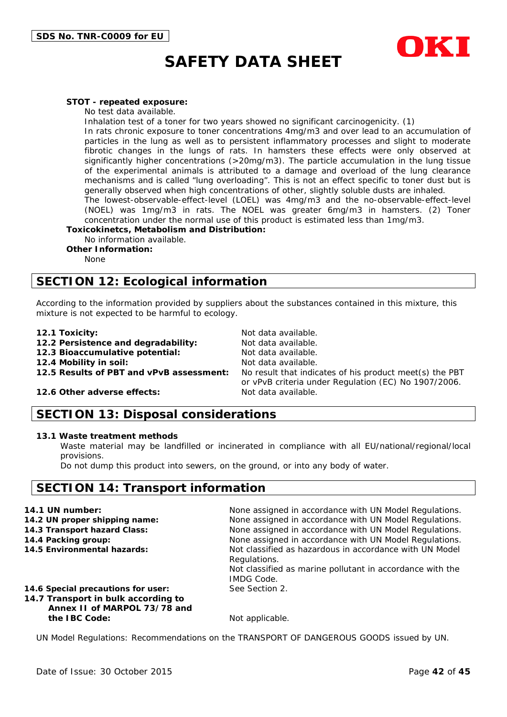

#### **STOT - repeated exposure:**

No test data available.

Inhalation test of a toner for two years showed no significant carcinogenicity. (1)

In rats chronic exposure to toner concentrations 4mg/m3 and over lead to an accumulation of particles in the lung as well as to persistent inflammatory processes and slight to moderate fibrotic changes in the lungs of rats. In hamsters these effects were only observed at significantly higher concentrations (>20mg/m3). The particle accumulation in the lung tissue of the experimental animals is attributed to a damage and overload of the lung clearance mechanisms and is called "lung overloading". This is not an effect specific to toner dust but is generally observed when high concentrations of other, slightly soluble dusts are inhaled.

The lowest-observable-effect-level (LOEL) was 4mg/m3 and the no-observable-effect-level (NOEL) was 1mg/m3 in rats. The NOEL was greater 6mg/m3 in hamsters. (2) Toner concentration under the normal use of this product is estimated less than 1mg/m3.

**Toxicokinetcs, Metabolism and Distribution:**

No information available.

**Other Information:**

None

## **SECTION 12: Ecological information**

According to the information provided by suppliers about the substances contained in this mixture, this mixture is not expected to be harmful to ecology.

- 
- **12.1 Toxicity:** Not data available.<br>**12.2 Persistence and degradability:** Not data available **12.2 Persistence and degradability:**
- **12.3 Bioaccumulative potential:** Not data available.

**12.4 Mobility in soil:** Not data available.<br>**12.5 Results of PBT and vPvB assessment:** No result that indic

No result that indicates of his product meet(s) the PBT or vPvB criteria under Regulation (EC) No 1907/2006.

#### **12.6 Other adverse effects:** Not data available.

### **SECTION 13: Disposal considerations**

#### **13.1 Waste treatment methods**

Waste material may be landfilled or incinerated in compliance with all EU/national/regional/local provisions.

Do not dump this product into sewers, on the ground, or into any body of water.

### **SECTION 14: Transport information**

| 14.1 UN number:                                                                                           | None assigned in accordance with UN Model Regulations.                                                                                                    |
|-----------------------------------------------------------------------------------------------------------|-----------------------------------------------------------------------------------------------------------------------------------------------------------|
| 14.2 UN proper shipping name:                                                                             | None assigned in accordance with UN Model Regulations.                                                                                                    |
| 14.3 Transport hazard Class:                                                                              | None assigned in accordance with UN Model Regulations.                                                                                                    |
| 14.4 Packing group:                                                                                       | None assigned in accordance with UN Model Regulations.                                                                                                    |
| 14.5 Environmental hazards:                                                                               | Not classified as hazardous in accordance with UN Model<br>Regulations.<br>Not classified as marine pollutant in accordance with the<br><b>IMDG Code.</b> |
| 14.6 Special precautions for user:<br>14.7 Transport in bulk according to<br>Annex II of MARPOL 73/78 and | See Section 2.                                                                                                                                            |
| the IBC Code:                                                                                             | Not applicable.                                                                                                                                           |

UN Model Regulations: Recommendations on the TRANSPORT OF DANGEROUS GOODS issued by UN.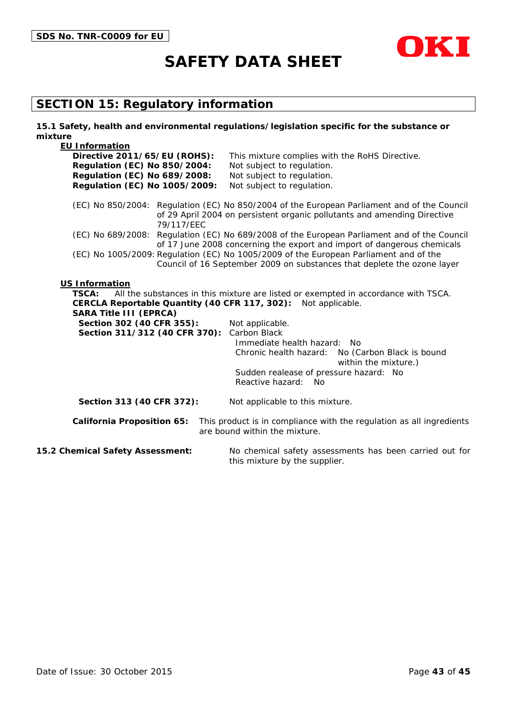



## **SECTION 15: Regulatory information**

| 15.1 Safety, health and environmental regulations/legislation specific for the substance or |            |                                                                                       |                                                                                                                                                                         |
|---------------------------------------------------------------------------------------------|------------|---------------------------------------------------------------------------------------|-------------------------------------------------------------------------------------------------------------------------------------------------------------------------|
| mixture                                                                                     |            |                                                                                       |                                                                                                                                                                         |
| <b>EU Information</b><br>Directive 2011/65/EU (ROHS):                                       |            | This mixture complies with the RoHS Directive.                                        |                                                                                                                                                                         |
| <b>Regulation (EC) No 850/2004:</b>                                                         |            | Not subject to regulation.                                                            |                                                                                                                                                                         |
| <b>Regulation (EC) No 689/2008:</b>                                                         |            | Not subject to regulation.                                                            |                                                                                                                                                                         |
| Regulation (EC) No 1005/2009:                                                               |            | Not subject to regulation.                                                            |                                                                                                                                                                         |
|                                                                                             |            |                                                                                       |                                                                                                                                                                         |
|                                                                                             | 79/117/EEC |                                                                                       | (EC) No 850/2004: Regulation (EC) No 850/2004 of the European Parliament and of the Council<br>of 29 April 2004 on persistent organic pollutants and amending Directive |
|                                                                                             |            |                                                                                       | (EC) No 689/2008: Regulation (EC) No 689/2008 of the European Parliament and of the Council                                                                             |
|                                                                                             |            |                                                                                       | of 17 June 2008 concerning the export and import of dangerous chemicals                                                                                                 |
|                                                                                             |            | (EC) No 1005/2009: Regulation (EC) No 1005/2009 of the European Parliament and of the | Council of 16 September 2009 on substances that deplete the ozone layer                                                                                                 |
|                                                                                             |            |                                                                                       |                                                                                                                                                                         |
| <b>US Information</b>                                                                       |            |                                                                                       |                                                                                                                                                                         |
| <b>TSCA:</b>                                                                                |            |                                                                                       | All the substances in this mixture are listed or exempted in accordance with TSCA.                                                                                      |
|                                                                                             |            | CERCLA Reportable Quantity (40 CFR 117, 302): Not applicable.                         |                                                                                                                                                                         |
| <b>SARA Title III (EPRCA)</b>                                                               |            |                                                                                       |                                                                                                                                                                         |
| Section 302 (40 CFR 355):                                                                   |            | Not applicable.                                                                       |                                                                                                                                                                         |
| Section 311/312 (40 CFR 370): Carbon Black                                                  |            |                                                                                       |                                                                                                                                                                         |
|                                                                                             |            | Immediate health hazard: No                                                           |                                                                                                                                                                         |
|                                                                                             |            | Chronic health hazard:                                                                | No (Carbon Black is bound<br>within the mixture.)                                                                                                                       |
|                                                                                             |            | Sudden realease of pressure hazard: No                                                |                                                                                                                                                                         |
|                                                                                             |            | Reactive hazard:<br>No.                                                               |                                                                                                                                                                         |
|                                                                                             |            |                                                                                       |                                                                                                                                                                         |
| Section 313 (40 CFR 372):                                                                   |            | Not applicable to this mixture.                                                       |                                                                                                                                                                         |
| <b>California Proposition 65:</b>                                                           |            | are bound within the mixture.                                                         | This product is in compliance with the regulation as all ingredients                                                                                                    |
|                                                                                             |            |                                                                                       |                                                                                                                                                                         |
| 15.2 Chemical Safety Assessment:                                                            |            | this mixture by the supplier.                                                         | No chemical safety assessments has been carried out for                                                                                                                 |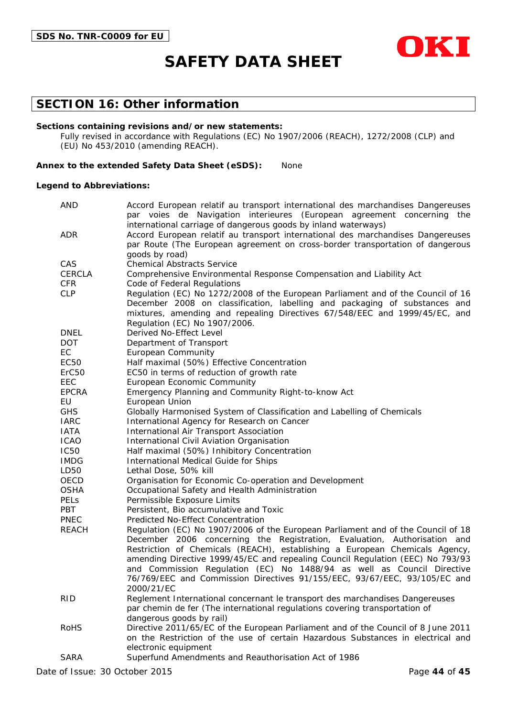

## **SECTION 16: Other information**

#### **Sections containing revisions and/or new statements:**

Fully revised in accordance with Regulations (EC) No 1907/2006 (REACH), 1272/2008 (CLP) and (EU) No 453/2010 (amending REACH).

#### **Annex to the extended Safety Data Sheet (eSDS):** None

#### **Legend to Abbreviations:**

| <b>AND</b>        | Accord European relatif au transport international des marchandises Dangereuses                                                                             |
|-------------------|-------------------------------------------------------------------------------------------------------------------------------------------------------------|
|                   | par voies de Navigation interieures (European agreement concerning the                                                                                      |
| <b>ADR</b>        | international carriage of dangerous goods by inland waterways)<br>Accord European relatif au transport international des marchandises Dangereuses           |
|                   | par Route (The European agreement on cross-border transportation of dangerous                                                                               |
|                   | goods by road)                                                                                                                                              |
| CAS               | <b>Chemical Abstracts Service</b>                                                                                                                           |
| <b>CERCLA</b>     | Comprehensive Environmental Response Compensation and Liability Act                                                                                         |
| <b>CFR</b>        | Code of Federal Regulations                                                                                                                                 |
| <b>CLP</b>        | Regulation (EC) No 1272/2008 of the European Parliament and of the Council of 16                                                                            |
|                   | December 2008 on classification, labelling and packaging of substances and                                                                                  |
|                   | mixtures, amending and repealing Directives 67/548/EEC and 1999/45/EC, and                                                                                  |
|                   | Regulation (EC) No 1907/2006.                                                                                                                               |
| <b>DNEL</b>       | Derived No-Effect Level                                                                                                                                     |
| DOT.              | Department of Transport                                                                                                                                     |
| EC                | <b>European Community</b>                                                                                                                                   |
| EC50              | Half maximal (50%) Effective Concentration                                                                                                                  |
| ErC <sub>50</sub> | EC50 in terms of reduction of growth rate                                                                                                                   |
| EEC               | European Economic Community                                                                                                                                 |
| <b>EPCRA</b>      | Emergency Planning and Community Right-to-know Act                                                                                                          |
| EU                | European Union                                                                                                                                              |
| <b>GHS</b>        | Globally Harmonised System of Classification and Labelling of Chemicals                                                                                     |
| <b>IARC</b>       | International Agency for Research on Cancer                                                                                                                 |
| <b>IATA</b>       | International Air Transport Association                                                                                                                     |
| <b>ICAO</b>       | International Civil Aviation Organisation                                                                                                                   |
| <b>IC50</b>       | Half maximal (50%) Inhibitory Concentration                                                                                                                 |
| <b>IMDG</b>       | International Medical Guide for Ships                                                                                                                       |
| LD50              | Lethal Dose, 50% kill                                                                                                                                       |
| OECD              | Organisation for Economic Co-operation and Development                                                                                                      |
| <b>OSHA</b>       | Occupational Safety and Health Administration                                                                                                               |
| <b>PELS</b>       | Permissible Exposure Limits                                                                                                                                 |
| PBT               | Persistent, Bio accumulative and Toxic                                                                                                                      |
| <b>PNEC</b>       | Predicted No-Effect Concentration                                                                                                                           |
| <b>REACH</b>      | Regulation (EC) No 1907/2006 of the European Parliament and of the Council of 18                                                                            |
|                   | December 2006 concerning the Registration, Evaluation, Authorisation and                                                                                    |
|                   | Restriction of Chemicals (REACH), establishing a European Chemicals Agency,                                                                                 |
|                   | amending Directive 1999/45/EC and repealing Council Regulation (EEC) No 793/93                                                                              |
|                   | and Commission Regulation (EC) No 1488/94 as well as Council Directive<br>76/769/EEC and Commission Directives 91/155/EEC, 93/67/EEC, 93/105/EC and         |
|                   |                                                                                                                                                             |
|                   | 2000/21/EC                                                                                                                                                  |
| <b>RID</b>        | Reglement International concernant le transport des marchandises Dangereuses<br>par chemin de fer (The international regulations covering transportation of |
|                   | dangerous goods by rail)                                                                                                                                    |
| <b>RoHS</b>       | Directive 2011/65/EC of the European Parliament and of the Council of 8 June 2011                                                                           |
|                   | on the Restriction of the use of certain Hazardous Substances in electrical and                                                                             |
|                   | electronic equipment                                                                                                                                        |
| <b>SARA</b>       | Superfund Amendments and Reauthorisation Act of 1986                                                                                                        |
|                   |                                                                                                                                                             |